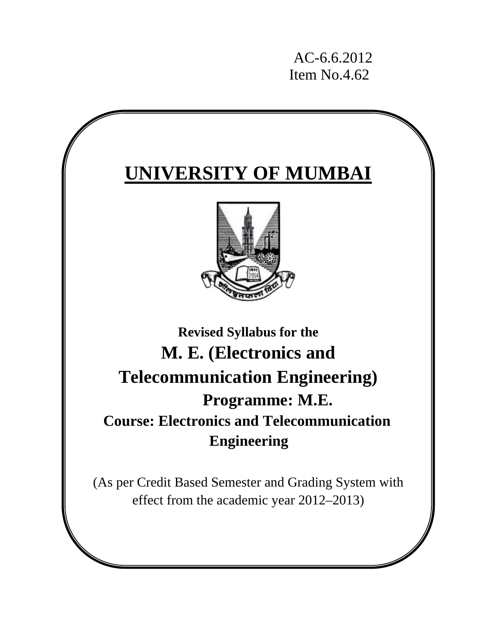AC-6.6.2012 Item No.4.62

# **UNIVERSITY OF MUMBAI**



# **Revised Syllabus for the M. E. (Electronics and Telecommunication Engineering) Programme: M.E. Course: Electronics and Telecommunication Engineering**

(As per Credit Based Semester and Grading System with effect from the academic year 2012–2013)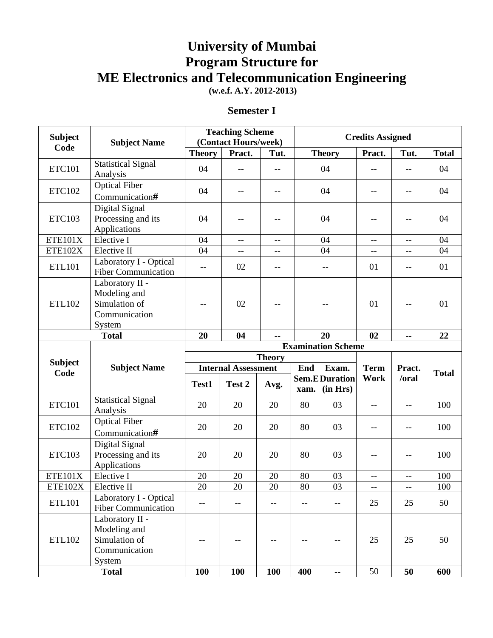# **University of Mumbai Program Structure for ME Electronics and Telecommunication Engineering**

 **(w.e.f. A.Y. 2012-2013)** 

# **Semester I**

| <b>Subject</b>         | <b>Subject Name</b>                                                                         |                            | <b>Teaching Scheme</b><br>(Contact Hours/week) |                   | <b>Credits Assigned</b>  |                                  |             |          |              |
|------------------------|---------------------------------------------------------------------------------------------|----------------------------|------------------------------------------------|-------------------|--------------------------|----------------------------------|-------------|----------|--------------|
| Code                   |                                                                                             | <b>Theory</b>              | Pract.                                         | Tut.              |                          | <b>Theory</b>                    | Pract.      | Tut.     | <b>Total</b> |
| <b>ETC101</b>          | <b>Statistical Signal</b><br>Analysis                                                       | 04                         | $- -$                                          | $-$               |                          | 04                               | $-$         | $-$      | 04           |
| <b>ETC102</b>          | <b>Optical Fiber</b><br>Communication#                                                      | 04                         |                                                | $-$               |                          | 04                               |             | $- -$    | 04           |
| <b>ETC103</b>          | Digital Signal<br>Processing and its<br>Applications                                        | 04                         | $\qquad \qquad -$                              | $\qquad \qquad -$ |                          | 04                               | --          | $-$      | 04           |
| <b>ETE101X</b>         | Elective I                                                                                  | 04                         | $-$                                            | $-$               |                          | 04                               | $-$         | $-$      | 04           |
| <b>ETE102X</b>         | Elective II                                                                                 | 04                         | $-$                                            | $-$               |                          | 04                               | $-$         | $-$      | 04           |
| <b>ETL101</b>          | Laboratory I - Optical<br><b>Fiber Communication</b>                                        | $-$                        | 02                                             | $-\,-$            |                          | $-$                              | 01          | $- -$    | 01           |
| ETL102                 | Laboratory II -<br>Modeling and<br>Simulation of<br>Communication<br>System                 | --                         | 02                                             |                   |                          |                                  |             | --       | 01           |
|                        | <b>Total</b>                                                                                | 20<br>04<br>20<br>02<br>Ξ. |                                                |                   |                          |                                  |             | 22       |              |
|                        |                                                                                             |                            |                                                |                   |                          | <b>Examination Scheme</b>        |             |          |              |
|                        |                                                                                             |                            |                                                | <b>Theory</b>     |                          |                                  |             |          |              |
| <b>Subject</b><br>Code | <b>Subject Name</b>                                                                         | <b>Internal Assessment</b> |                                                |                   | End                      | Exam.                            | <b>Term</b> | Pract.   | <b>Total</b> |
|                        |                                                                                             | Test1                      | Test 2                                         | Avg.              | xam.                     | <b>Sem.EDuration</b><br>(in Hrs) | Work        | /oral    |              |
| <b>ETC101</b>          | <b>Statistical Signal</b><br>Analysis                                                       | 20                         | 20                                             | 20                | 80                       | 03                               | $- -$       | --       | 100          |
| <b>ETC102</b>          | <b>Optical Fiber</b><br>Communication#                                                      | 20                         | 20                                             | 20                | 80                       | 03                               | $-$         | $-$      | 100          |
| <b>ETC103</b>          | Digital Signal<br>Processing and its<br>Applications                                        | 20                         | 20                                             | 20                | 80                       | 03                               |             | --       | 100          |
| ETE101X                | Elective I                                                                                  | 20                         | 20                                             | 20                | 80                       | 03                               | $-$         | $-$      | 100          |
| ETE102X                | Elective II                                                                                 | $20\,$                     | $20\,$                                         | $20\,$            | 80                       | $\overline{03}$                  | --          | --       | $100\,$      |
| ETL101                 | Laboratory I - Optical<br><b>Fiber Communication</b>                                        |                            | --                                             | $- -$             | $\overline{\phantom{m}}$ | $\overline{\phantom{m}}$         | 25          | 25       | 50           |
| ETL102                 | Laboratory II -<br>Modeling and<br>Simulation of<br>Communication<br>System<br><b>Total</b> | <b>100</b>                 | <b>100</b>                                     | 100               | 400                      | $\sim$                           | 25<br>50    | 25<br>50 | 50<br>600    |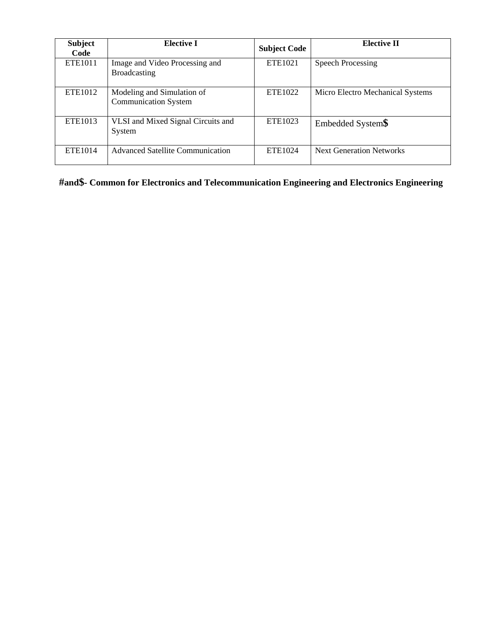| <b>Subject</b><br>Code | <b>Elective I</b>                                         | <b>Subject Code</b> | <b>Elective II</b>               |
|------------------------|-----------------------------------------------------------|---------------------|----------------------------------|
| ETE <sub>1011</sub>    | Image and Video Processing and<br><b>Broadcasting</b>     | ETE1021             | <b>Speech Processing</b>         |
| ETE1012                | Modeling and Simulation of<br><b>Communication System</b> | ETE <sub>1022</sub> | Micro Electro Mechanical Systems |
| ETE <sub>1013</sub>    | VLSI and Mixed Signal Circuits and<br>System              | ETE <sub>1023</sub> | Embedded System\$                |
| ETE <sub>1014</sub>    | <b>Advanced Satellite Communication</b>                   | ETE1024             | <b>Next Generation Networks</b>  |

**#and\$- Common for Electronics and Telecommunication Engineering and Electronics Engineering**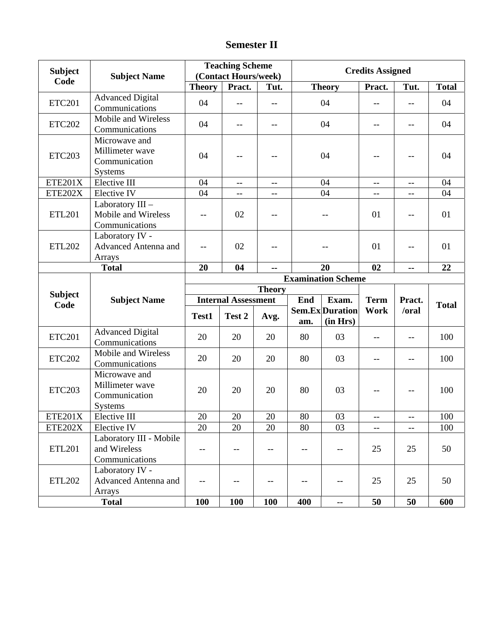# **Semester II**

| <b>Subject</b> | <b>Subject Name</b>                                                      |                            | <b>Teaching Scheme</b><br>(Contact Hours/week) |                                               | <b>Credits Assigned</b> |                                                     |                          |                          |              |
|----------------|--------------------------------------------------------------------------|----------------------------|------------------------------------------------|-----------------------------------------------|-------------------------|-----------------------------------------------------|--------------------------|--------------------------|--------------|
| Code           |                                                                          | <b>Theory</b>              | Pract.                                         | Tut.                                          |                         | <b>Theory</b>                                       | Pract.                   | Tut.                     | <b>Total</b> |
| <b>ETC201</b>  | <b>Advanced Digital</b><br>Communications                                | 04                         | --                                             | --                                            |                         | 04                                                  | $- -$                    | --                       | 04           |
| <b>ETC202</b>  | Mobile and Wireless<br>Communications                                    | 04                         | $-$                                            | $-$                                           |                         | 04                                                  | $-$                      | $-$                      | 04           |
| <b>ETC203</b>  | Microwave and<br>Millimeter wave<br>Communication<br><b>Systems</b>      | 04                         | --                                             | $-$                                           |                         | 04                                                  |                          | --                       | 04           |
| ETE201X        | Elective III                                                             | 04                         | $\overline{a}$                                 | $\overline{\phantom{m}}$                      |                         | 04                                                  | $\overline{\phantom{m}}$ | $\overline{\phantom{a}}$ | 04           |
| ETE202X        | Elective IV                                                              | 04                         | $-$                                            | $-$                                           |                         | 04                                                  | $-$                      | $-$                      | 04           |
| <b>ETL201</b>  | Laboratory III -<br>Mobile and Wireless<br>Communications                | $-$                        | 02                                             | --                                            |                         |                                                     | 01                       | --                       | 01           |
| <b>ETL202</b>  | Laboratory IV -<br>Advanced Antenna and<br>Arrays                        | $-$                        | 02                                             | $-$                                           |                         |                                                     |                          | $-$                      | 01           |
|                | <b>Total</b>                                                             | 04<br>02<br>20<br>20<br>-- |                                                |                                               |                         |                                                     | --                       | 22                       |              |
|                |                                                                          |                            |                                                |                                               |                         | <b>Examination Scheme</b>                           |                          |                          |              |
| <b>Subject</b> | <b>Subject Name</b>                                                      | <b>Theory</b>              |                                                |                                               |                         |                                                     |                          |                          |              |
| Code           |                                                                          | <b>Internal Assessment</b> |                                                |                                               | End                     | Exam.                                               | <b>Term</b>              | Pract.                   | <b>Total</b> |
|                |                                                                          | Test1                      | Test 2                                         | Avg.                                          | am.                     | Sem.Ex Duration<br>(in Hrs)                         | Work                     | /oral                    |              |
| <b>ETC201</b>  | <b>Advanced Digital</b><br>Communications                                | 20                         | 20                                             | 20                                            | 80                      | 03                                                  | $-$                      | $\overline{\phantom{m}}$ | 100          |
| <b>ETC202</b>  | Mobile and Wireless<br>Communications                                    | 20                         | 20                                             | 20                                            | 80                      | 03                                                  | $-$                      | $-$                      | 100          |
| <b>ETC203</b>  | Microwave and<br>Millimeter wave                                         | 20                         | 20                                             |                                               |                         |                                                     |                          |                          | 100          |
|                | Communication<br><b>Systems</b>                                          |                            |                                                | 20                                            | 80                      | 03                                                  | $-$                      | $\overline{\phantom{m}}$ |              |
| <b>ETE201X</b> | Elective III                                                             | 20                         | 20                                             | 20                                            | 80                      | 03                                                  | $-$                      | $-$                      | 100          |
| ETE202X        | Elective IV                                                              | 20                         | 20                                             | 20                                            | 80                      | 03                                                  | $- -$                    | $-\,-$                   | 100          |
| <b>ETL201</b>  | Laboratory III - Mobile<br>and Wireless<br>Communications                | --                         | --                                             | $\mathord{\hspace{1pt}\text{--}\hspace{1pt}}$ | $\qquad \qquad -$       | $- -$                                               | 25                       | 25                       | 50           |
| <b>ETL202</b>  | Laboratory IV -<br><b>Advanced Antenna and</b><br>Arrays<br><b>Total</b> | <b>100</b>                 | $-\,-$<br>100                                  | $-$<br>100                                    | $-$<br>400              | --<br>$\mathord{\hspace{1pt}\text{--}\hspace{1pt}}$ | 25<br>50                 | 25<br>50                 | 50<br>600    |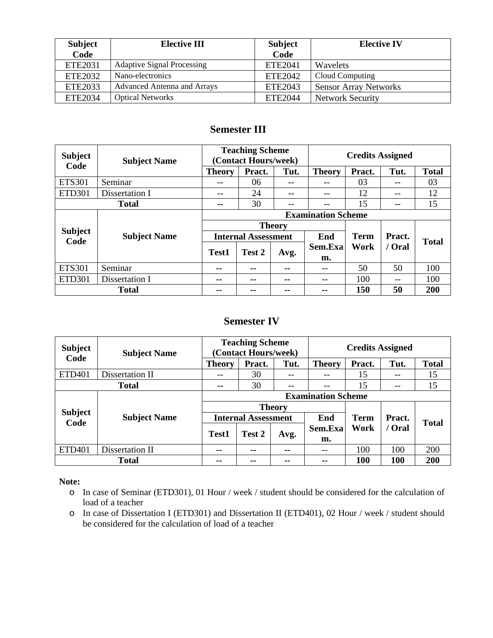| <b>Subject</b><br>Code | <b>Elective III</b>                | <b>Subject</b><br>Code | <b>Elective IV</b>           |
|------------------------|------------------------------------|------------------------|------------------------------|
| ETE <sub>2031</sub>    | <b>Adaptive Signal Processing</b>  | ETE2041                | <b>Wavelets</b>              |
| ETE2032                | Nano-electronics                   | ETE2042                | Cloud Computing              |
| ETE2033                | <b>Advanced Antenna and Arrays</b> | ETE2043                | <b>Sensor Array Networks</b> |
| ETE2034                | <b>Optical Networks</b>            | ETE2044                | <b>Network Security</b>      |

# **Semester III**

| <b>Subject</b><br>Code | <b>Subject Name</b> |                            | <b>Teaching Scheme</b><br>(Contact Hours/week) |               | <b>Credits Assigned</b> |             |                                                                 |              |  |
|------------------------|---------------------|----------------------------|------------------------------------------------|---------------|-------------------------|-------------|-----------------------------------------------------------------|--------------|--|
|                        |                     | <b>Theory</b>              | Pract.                                         | Tut.          | <b>Theory</b>           | Pract.      | Tut.<br>--<br>$- -$<br>--<br>Pract.<br>/ Oral<br>50<br>--<br>50 | <b>Total</b> |  |
| <b>ETS301</b>          | Seminar             | --                         | 06                                             | --            | --                      | 03          |                                                                 | 03           |  |
| <b>ETD301</b>          | Dissertation I      | --                         | 24                                             | --            | $- -$                   | 12          |                                                                 | 12           |  |
|                        | <b>Total</b>        | --                         | 30                                             | --            |                         | 15<br>15    |                                                                 |              |  |
|                        |                     | <b>Examination Scheme</b>  |                                                |               |                         |             |                                                                 |              |  |
|                        |                     |                            |                                                | <b>Theory</b> |                         |             |                                                                 |              |  |
| <b>Subject</b><br>Code | <b>Subject Name</b> | <b>Internal Assessment</b> |                                                |               | End                     | <b>Term</b> |                                                                 | <b>Total</b> |  |
|                        |                     | Test1                      | Test 2                                         |               | Work<br>Sem.Exa         |             |                                                                 |              |  |
|                        |                     |                            |                                                | Avg.          | m.                      |             |                                                                 |              |  |
| <b>ETS301</b>          | Seminar             | --                         | --                                             | --            | --                      | 50          |                                                                 | 100          |  |
| <b>ETD301</b>          | Dissertation I      | --                         | --                                             | --            | --                      | 100         |                                                                 | 100          |  |
|                        | <b>Total</b>        | --                         | --                                             | --            | --                      | 150         |                                                                 | 200          |  |

# **Semester IV**

| <b>Subject</b><br>Code | <b>Subject Name</b> | <b>Teaching Scheme</b><br>(Contact Hours/week) |               |       | <b>Credits Assigned</b> |            |                                                                 |              |  |
|------------------------|---------------------|------------------------------------------------|---------------|-------|-------------------------|------------|-----------------------------------------------------------------|--------------|--|
|                        |                     | <b>Theory</b>                                  | Pract.        | Tut.  | <b>Theory</b>           | Pract.     | Tut.<br>$- -$<br>$- -$<br>Pract.<br>/ Oral<br>100<br><b>100</b> | <b>Total</b> |  |
| <b>ETD401</b>          | Dissertation II     | --                                             | 30            | $- -$ | --                      | 15         |                                                                 | 15           |  |
|                        | <b>Total</b>        | --                                             | 30            | --    | --                      | 15<br>15   |                                                                 |              |  |
|                        |                     | <b>Examination Scheme</b>                      |               |       |                         |            |                                                                 |              |  |
|                        |                     | <b>Theory</b>                                  |               |       |                         |            |                                                                 |              |  |
| <b>Subject</b><br>Code | <b>Subject Name</b> | <b>Internal Assessment</b>                     |               |       | End<br><b>Term</b>      |            |                                                                 | <b>Total</b> |  |
|                        |                     | <b>Test1</b>                                   | Test 2        | Avg.  | Work<br>Sem.Exa         |            |                                                                 |              |  |
|                        |                     |                                                |               |       | m.                      |            |                                                                 |              |  |
| <b>ETD401</b>          | Dissertation II     | $\sim$ $\sim$                                  | --            | --    | $- -$                   | 100        |                                                                 | 200          |  |
|                        | <b>Total</b>        | --                                             | $\sim$ $\sim$ | --    | --                      | <b>100</b> |                                                                 | 200          |  |

#### **Note:**

- o In case of Seminar (ETD301), 01 Hour / week / student should be considered for the calculation of load of a teacher
- o In case of Dissertation I (ETD301) and Dissertation II (ETD401), 02 Hour / week / student should be considered for the calculation of load of a teacher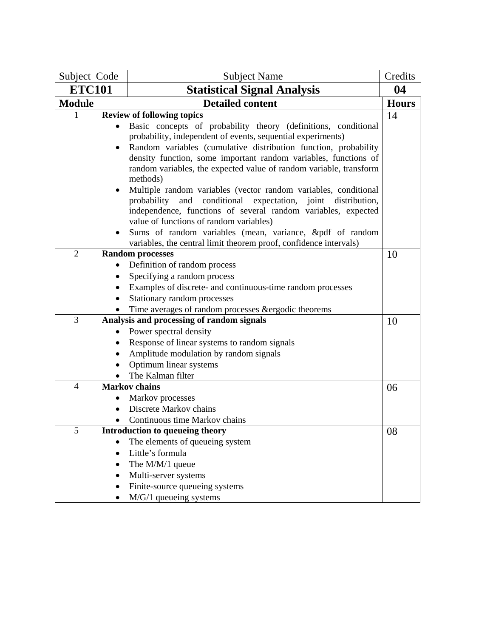| Subject Code   |           | <b>Subject Name</b>                                                                                                                   | Credits      |
|----------------|-----------|---------------------------------------------------------------------------------------------------------------------------------------|--------------|
| <b>ETC101</b>  |           | <b>Statistical Signal Analysis</b>                                                                                                    |              |
| <b>Module</b>  |           | <b>Detailed content</b>                                                                                                               | <b>Hours</b> |
| 1              |           | <b>Review of following topics</b>                                                                                                     | 14           |
|                |           | Basic concepts of probability theory (definitions, conditional                                                                        |              |
|                |           | probability, independent of events, sequential experiments)                                                                           |              |
|                |           | Random variables (cumulative distribution function, probability                                                                       |              |
|                |           | density function, some important random variables, functions of                                                                       |              |
|                |           | random variables, the expected value of random variable, transform<br>methods)                                                        |              |
|                |           |                                                                                                                                       |              |
|                |           | Multiple random variables (vector random variables, conditional<br>probability<br>and<br>conditional expectation, joint distribution, |              |
|                |           | independence, functions of several random variables, expected                                                                         |              |
|                |           | value of functions of random variables)                                                                                               |              |
|                |           | Sums of random variables (mean, variance, &pdf of random                                                                              |              |
|                |           | variables, the central limit theorem proof, confidence intervals)                                                                     |              |
| $\overline{2}$ |           | <b>Random processes</b>                                                                                                               | 10           |
|                |           | Definition of random process                                                                                                          |              |
|                |           | Specifying a random process                                                                                                           |              |
|                |           | Examples of discrete- and continuous-time random processes                                                                            |              |
|                | $\bullet$ | Stationary random processes                                                                                                           |              |
|                |           | Time averages of random processes & ergodic theorems                                                                                  |              |
| 3              |           | Analysis and processing of random signals                                                                                             | 10           |
|                | $\bullet$ | Power spectral density                                                                                                                |              |
|                |           | Response of linear systems to random signals                                                                                          |              |
|                |           | Amplitude modulation by random signals                                                                                                |              |
|                |           | Optimum linear systems                                                                                                                |              |
| $\overline{4}$ |           | The Kalman filter<br><b>Markov</b> chains                                                                                             |              |
|                |           | Markov processes                                                                                                                      | 06           |
|                |           | Discrete Markov chains                                                                                                                |              |
|                |           | Continuous time Markov chains                                                                                                         |              |
| 5              |           | Introduction to queueing theory                                                                                                       | 08           |
|                |           | The elements of queueing system                                                                                                       |              |
|                |           | Little's formula                                                                                                                      |              |
|                |           | The M/M/1 queue                                                                                                                       |              |
|                |           | Multi-server systems                                                                                                                  |              |
|                | $\bullet$ | Finite-source queueing systems                                                                                                        |              |
|                |           | M/G/1 queueing systems                                                                                                                |              |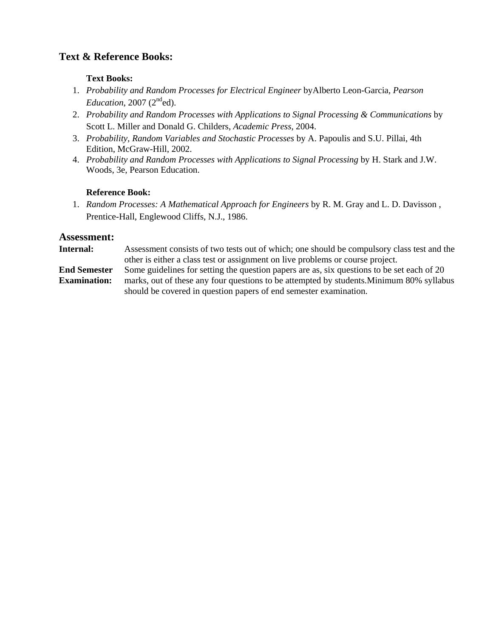#### **Text Books:**

- 1. *Probability and Random Processes for Electrical Engineer* byAlberto Leon-Garcia*, Pearson*   $Education$ , 2007 ( $2<sup>nd</sup>$ ed).
- 2. *Probability and Random Processes with Applications to Signal Processing & Communications* by Scott L. Miller and Donald G. Childers, *Academic Press*, 2004.
- 3. *Probability, Random Variables and Stochastic Processes* by A. Papoulis and S.U. Pillai, 4th Edition, McGraw-Hill, 2002.
- 4. *Probability and Random Processes with Applications to Signal Processing* by H. Stark and J.W. Woods, 3e, Pearson Education.

#### **Reference Book:**

1. *Random Processes: A Mathematical Approach for Engineers* by R. M. Gray and L. D. Davisson , Prentice-Hall, Englewood Cliffs, N.J., 1986.

#### **Assessment:**

**Internal:** Assessment consists of two tests out of which; one should be compulsory class test and the other is either a class test or assignment on live problems or course project. **End Semester Examination:** Some guidelines for setting the question papers are as, six questions to be set each of 20 marks, out of these any four questions to be attempted by students.Minimum 80% syllabus should be covered in question papers of end semester examination.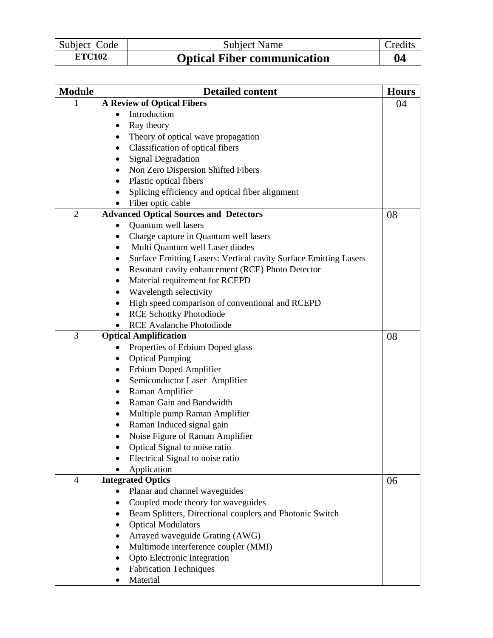| Subject Code  | Subject Name                       | Credits |
|---------------|------------------------------------|---------|
| <b>ETC102</b> | <b>Optical Fiber communication</b> | 04      |

| <b>Module</b>  | <b>Detailed content</b>                                               | <b>Hours</b> |
|----------------|-----------------------------------------------------------------------|--------------|
|                | <b>A Review of Optical Fibers</b>                                     | 04           |
|                | Introduction<br>$\bullet$                                             |              |
|                | Ray theory<br>$\bullet$                                               |              |
|                | Theory of optical wave propagation                                    |              |
|                | Classification of optical fibers<br>$\bullet$                         |              |
|                | <b>Signal Degradation</b><br>٠                                        |              |
|                | Non Zero Dispersion Shifted Fibers<br>٠                               |              |
|                | Plastic optical fibers<br>$\bullet$                                   |              |
|                | Splicing efficiency and optical fiber alignment<br>$\bullet$          |              |
|                | Fiber optic cable                                                     |              |
| $\overline{2}$ | <b>Advanced Optical Sources and Detectors</b>                         | 08           |
|                | Quantum well lasers                                                   |              |
|                | Charge capture in Quantum well lasers<br>٠                            |              |
|                | Multi Quantum well Laser diodes<br>$\bullet$                          |              |
|                | Surface Emitting Lasers: Vertical cavity Surface Emitting Lasers<br>٠ |              |
|                | Resonant cavity enhancement (RCE) Photo Detector<br>$\bullet$         |              |
|                | Material requirement for RCEPD<br>٠                                   |              |
|                | Wavelength selectivity<br>٠                                           |              |
|                | High speed comparison of conventional and RCEPD<br>$\bullet$          |              |
|                | <b>RCE Schottky Photodiode</b><br>$\bullet$                           |              |
|                | <b>RCE Avalanche Photodiode</b>                                       |              |
| 3              | <b>Optical Amplification</b>                                          | 08           |
|                | Properties of Erbium Doped glass                                      |              |
|                | <b>Optical Pumping</b><br>$\bullet$                                   |              |
|                | Erbium Doped Amplifier<br>٠                                           |              |
|                | Semiconductor Laser Amplifier<br>$\bullet$                            |              |
|                | Raman Amplifier<br>٠                                                  |              |
|                | Raman Gain and Bandwidth<br>$\bullet$                                 |              |
|                | Multiple pump Raman Amplifier<br>$\bullet$                            |              |
|                | Raman Induced signal gain<br>$\bullet$                                |              |
|                | Noise Figure of Raman Amplifier                                       |              |
|                | Optical Signal to noise ratio                                         |              |
|                | Electrical Signal to noise ratio                                      |              |
|                | Application                                                           |              |
| $\overline{4}$ | <b>Integrated Optics</b>                                              | 06           |
|                | Planar and channel waveguides<br>$\bullet$                            |              |
|                | Coupled mode theory for waveguides<br>٠                               |              |
|                | Beam Splitters, Directional couplers and Photonic Switch              |              |
|                | <b>Optical Modulators</b>                                             |              |
|                | Arrayed waveguide Grating (AWG)                                       |              |
|                | Multimode interference coupler (MMI)<br>$\bullet$                     |              |
|                | Opto Electronic Integration                                           |              |
|                | <b>Fabrication Techniques</b>                                         |              |
|                | Material<br>$\bullet$                                                 |              |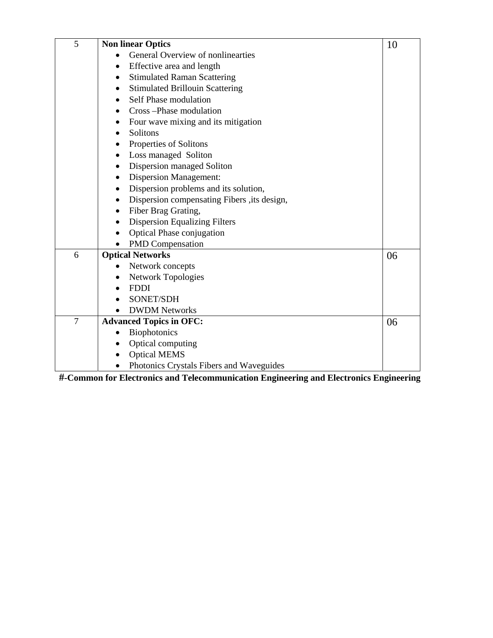| 5 | <b>Non linear Optics</b>                        | 10 |
|---|-------------------------------------------------|----|
|   | General Overview of nonlinearties               |    |
|   | Effective area and length<br>$\bullet$          |    |
|   | <b>Stimulated Raman Scattering</b><br>$\bullet$ |    |
|   | <b>Stimulated Brillouin Scattering</b>          |    |
|   | Self Phase modulation<br>$\bullet$              |    |
|   | Cross-Phase modulation                          |    |
|   | Four wave mixing and its mitigation             |    |
|   | Solitons<br>$\bullet$                           |    |
|   | Properties of Solitons                          |    |
|   | Loss managed Soliton                            |    |
|   | Dispersion managed Soliton                      |    |
|   | <b>Dispersion Management:</b>                   |    |
|   | Dispersion problems and its solution,           |    |
|   | Dispersion compensating Fibers ,its design,     |    |
|   | Fiber Brag Grating,                             |    |
|   | <b>Dispersion Equalizing Filters</b>            |    |
|   | <b>Optical Phase conjugation</b>                |    |
|   | <b>PMD</b> Compensation                         |    |
| 6 | <b>Optical Networks</b>                         | 06 |
|   | Network concepts                                |    |
|   | <b>Network Topologies</b>                       |    |
|   | <b>FDDI</b>                                     |    |
|   | <b>SONET/SDH</b>                                |    |
|   | <b>DWDM Networks</b>                            |    |
| 7 | <b>Advanced Topics in OFC:</b>                  | 06 |
|   | <b>Biophotonics</b>                             |    |
|   | Optical computing                               |    |
|   | <b>Optical MEMS</b>                             |    |
|   | Photonics Crystals Fibers and Waveguides        |    |

**#-Common for Electronics and Telecommunication Engineering and Electronics Engineering**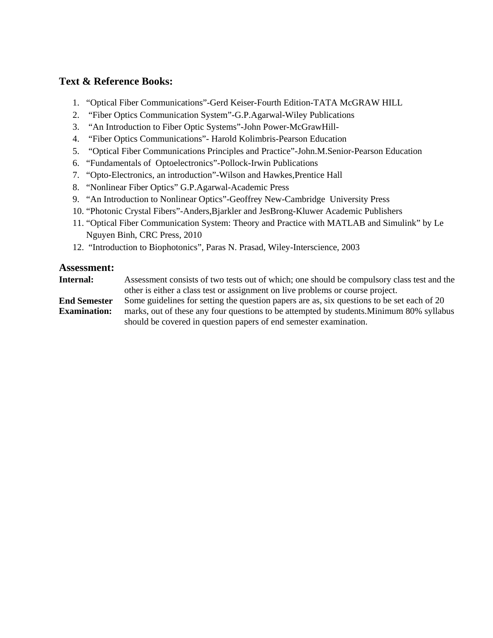- 1. "Optical Fiber Communications"-Gerd Keiser-Fourth Edition-TATA McGRAW HILL
- 2. "Fiber Optics Communication System"-G.P.Agarwal-Wiley Publications
- 3. "An Introduction to Fiber Optic Systems"-John Power-McGrawHill-
- 4. "Fiber Optics Communications"- Harold Kolimbris-Pearson Education
- 5. "Optical Fiber Communications Principles and Practice"-John.M.Senior-Pearson Education
- 6. "Fundamentals of Optoelectronics"-Pollock-Irwin Publications
- 7. "Opto-Electronics, an introduction"-Wilson and Hawkes,Prentice Hall
- 8. "Nonlinear Fiber Optics" G.P.Agarwal-Academic Press
- 9. "An Introduction to Nonlinear Optics"-Geoffrey New-Cambridge University Press
- 10. "Photonic Crystal Fibers"-Anders,Bjarkler and JesBrong-Kluwer Academic Publishers
- 11. "Optical Fiber Communication System: Theory and Practice with MATLAB and Simulink" by Le Nguyen Binh, CRC Press, 2010
- 12. "Introduction to Biophotonics", Paras N. Prasad, Wiley-Interscience, 2003

#### **Assessment:**

**Internal:** Assessment consists of two tests out of which; one should be compulsory class test and the other is either a class test or assignment on live problems or course project.

**End Semester Examination:** Some guidelines for setting the question papers are as, six questions to be set each of 20 marks, out of these any four questions to be attempted by students.Minimum 80% syllabus should be covered in question papers of end semester examination.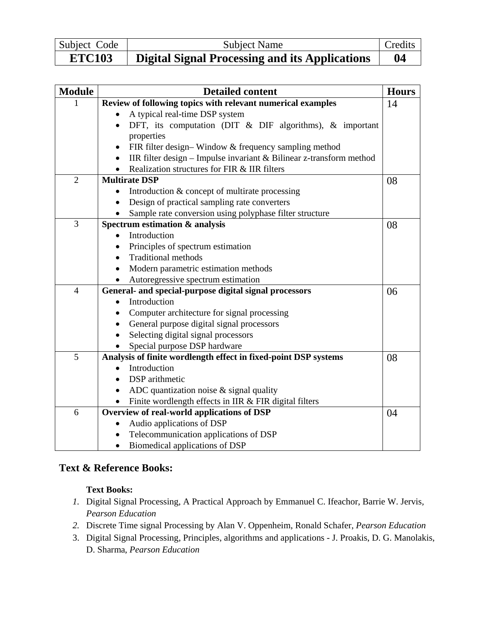| Subject Code  | Subject Name                                          | Credits |
|---------------|-------------------------------------------------------|---------|
| <b>ETC103</b> | <b>Digital Signal Processing and its Applications</b> | 04      |

| <b>Module</b>  | <b>Detailed content</b>                                             | <b>Hours</b> |
|----------------|---------------------------------------------------------------------|--------------|
|                | Review of following topics with relevant numerical examples         | 14           |
|                | A typical real-time DSP system                                      |              |
|                | DFT, its computation (DIT & DIF algorithms), & important            |              |
|                | properties                                                          |              |
|                | FIR filter design-Window & frequency sampling method                |              |
|                | IIR filter design - Impulse invariant & Bilinear z-transform method |              |
|                | Realization structures for FIR & IIR filters                        |              |
| $\overline{2}$ | <b>Multirate DSP</b>                                                | 08           |
|                | Introduction & concept of multirate processing                      |              |
|                | Design of practical sampling rate converters                        |              |
|                | Sample rate conversion using polyphase filter structure             |              |
| 3              | Spectrum estimation & analysis                                      | 08           |
|                | Introduction                                                        |              |
|                | Principles of spectrum estimation                                   |              |
|                | <b>Traditional methods</b>                                          |              |
|                | Modern parametric estimation methods                                |              |
|                | Autoregressive spectrum estimation                                  |              |
| $\overline{4}$ | General- and special-purpose digital signal processors              | 06           |
|                | Introduction<br>$\bullet$                                           |              |
|                | Computer architecture for signal processing                         |              |
|                | General purpose digital signal processors                           |              |
|                | Selecting digital signal processors                                 |              |
|                | Special purpose DSP hardware                                        |              |
| 5              | Analysis of finite wordlength effect in fixed-point DSP systems     | 08           |
|                | Introduction                                                        |              |
|                | DSP arithmetic                                                      |              |
|                | ADC quantization noise $\&$ signal quality<br>$\bullet$             |              |
|                | Finite wordlength effects in IIR & FIR digital filters              |              |
| 6              | Overview of real-world applications of DSP                          | 04           |
|                | Audio applications of DSP                                           |              |
|                | Telecommunication applications of DSP<br>$\bullet$                  |              |
|                | Biomedical applications of DSP                                      |              |

#### **Text Books:**

- *1.* Digital Signal Processing, A Practical Approach by Emmanuel C. Ifeachor, Barrie W. Jervis*, Pearson Education*
- *2.* Discrete Time signal Processing by Alan V. Oppenheim, Ronald Schafer, *Pearson Education*
- 3. Digital Signal Processing, Principles, algorithms and applications J. Proakis, D. G. Manolakis, D. Sharma, *Pearson Education*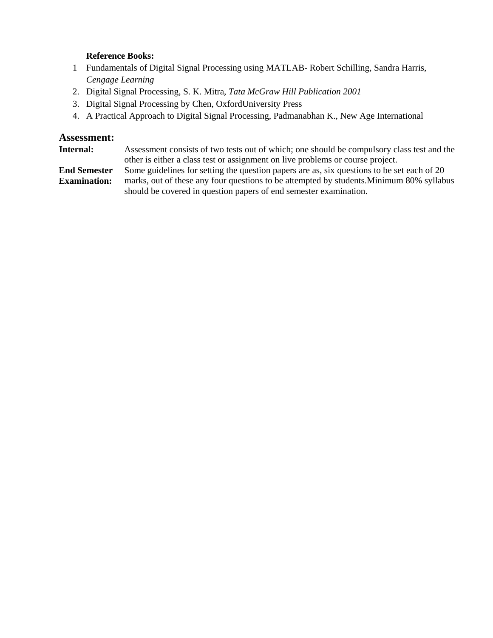#### **Reference Books:**

- 1 Fundamentals of Digital Signal Processing using MATLAB- Robert Schilling, Sandra Harris, *Cengage Learning*
- 2. Digital Signal Processing, S. K. Mitra, *Tata McGraw Hill Publication 2001*
- 3. Digital Signal Processing by Chen, OxfordUniversity Press
- 4. A Practical Approach to Digital Signal Processing, Padmanabhan K., New Age International

#### **Assessment:**

**Internal:** Assessment consists of two tests out of which; one should be compulsory class test and the other is either a class test or assignment on live problems or course project.

**End Semester Examination:** Some guidelines for setting the question papers are as, six questions to be set each of 20 marks, out of these any four questions to be attempted by students.Minimum 80% syllabus should be covered in question papers of end semester examination.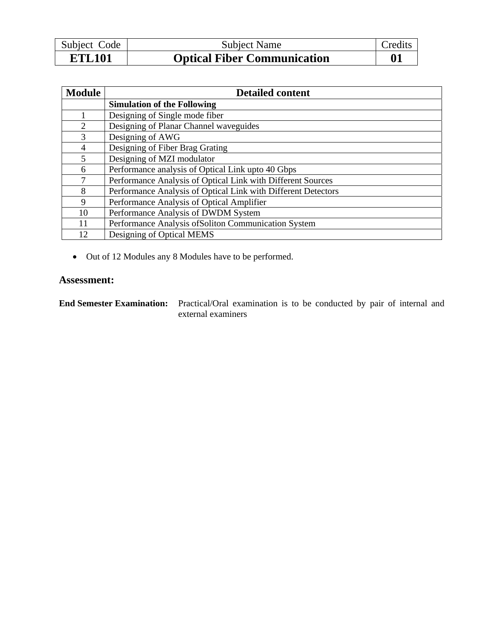| Subject Code  | Subject Name                       | <b>Credits</b> |
|---------------|------------------------------------|----------------|
| <b>ETL101</b> | <b>Optical Fiber Communication</b> |                |

| <b>Module</b> | <b>Detailed content</b>                                       |
|---------------|---------------------------------------------------------------|
|               | <b>Simulation of the Following</b>                            |
|               | Designing of Single mode fiber                                |
| 2             | Designing of Planar Channel waveguides                        |
| $\mathbf{R}$  | Designing of AWG                                              |
| 4             | Designing of Fiber Brag Grating                               |
| 5             | Designing of MZI modulator                                    |
| 6             | Performance analysis of Optical Link upto 40 Gbps             |
| 7             | Performance Analysis of Optical Link with Different Sources   |
| 8             | Performance Analysis of Optical Link with Different Detectors |
| 9             | Performance Analysis of Optical Amplifier                     |
| 10            | Performance Analysis of DWDM System                           |
| 11            | Performance Analysis of Soliton Communication System          |
| 12            | Designing of Optical MEMS                                     |

• Out of 12 Modules any 8 Modules have to be performed.

#### **Assessment:**

**End Semester Examination:** Practical/Oral examination is to be conducted by pair of internal and external examiners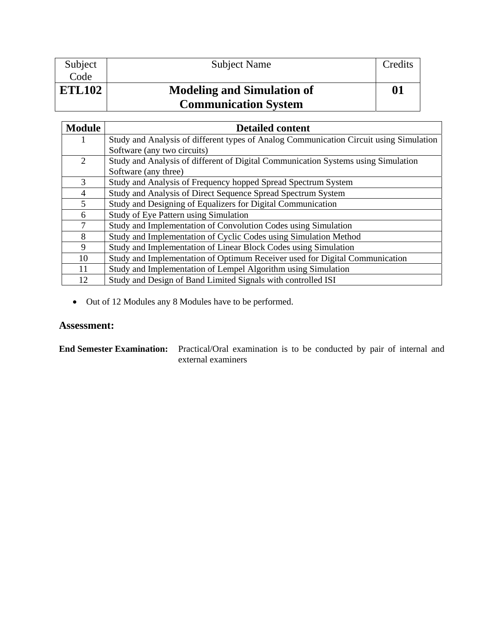| Subject       | <b>Subject Name</b>               | Credits      |
|---------------|-----------------------------------|--------------|
| Code          |                                   |              |
| <b>ETL102</b> | <b>Modeling and Simulation of</b> | $\mathbf{0}$ |
|               | <b>Communication System</b>       |              |

| <b>Module</b> | <b>Detailed content</b>                                                                |
|---------------|----------------------------------------------------------------------------------------|
| 1             | Study and Analysis of different types of Analog Communication Circuit using Simulation |
|               | Software (any two circuits)                                                            |
| 2             | Study and Analysis of different of Digital Communication Systems using Simulation      |
|               | Software (any three)                                                                   |
| 3             | Study and Analysis of Frequency hopped Spread Spectrum System                          |
| 4             | Study and Analysis of Direct Sequence Spread Spectrum System                           |
| 5             | Study and Designing of Equalizers for Digital Communication                            |
| 6             | Study of Eye Pattern using Simulation                                                  |
| 7             | Study and Implementation of Convolution Codes using Simulation                         |
| 8             | Study and Implementation of Cyclic Codes using Simulation Method                       |
| 9             | Study and Implementation of Linear Block Codes using Simulation                        |
| 10            | Study and Implementation of Optimum Receiver used for Digital Communication            |
| 11            | Study and Implementation of Lempel Algorithm using Simulation                          |
| 12            | Study and Design of Band Limited Signals with controlled ISI                           |

• Out of 12 Modules any 8 Modules have to be performed.

| End Semester Examination: Practical/Oral examination is to be conducted by pair of internal and |
|-------------------------------------------------------------------------------------------------|
| external examiners                                                                              |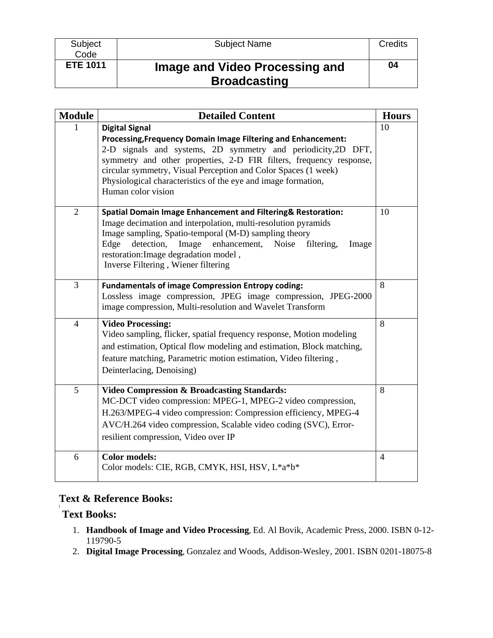**Subject** Code

# **ETE 1011 Image and Video Processing and Broadcasting**

| <b>Module</b>  | <b>Detailed Content</b>                                                                                                                                                                                                                                                                                                                                                                 | <b>Hours</b>   |
|----------------|-----------------------------------------------------------------------------------------------------------------------------------------------------------------------------------------------------------------------------------------------------------------------------------------------------------------------------------------------------------------------------------------|----------------|
|                | <b>Digital Signal</b><br>Processing, Frequency Domain Image Filtering and Enhancement:<br>2-D signals and systems, 2D symmetry and periodicity, 2D DFT,<br>symmetry and other properties, 2-D FIR filters, frequency response,<br>circular symmetry, Visual Perception and Color Spaces (1 week)<br>Physiological characteristics of the eye and image formation,<br>Human color vision | 10             |
| 2              | <b>Spatial Domain Image Enhancement and Filtering&amp; Restoration:</b><br>Image decimation and interpolation, multi-resolution pyramids<br>Image sampling, Spatio-temporal (M-D) sampling theory<br>detection,<br>Image<br>enhancement,<br>Noise filtering,<br>Edge<br>Image<br>restoration: Image degradation model,<br>Inverse Filtering, Wiener filtering                           | 10             |
| $\overline{3}$ | <b>Fundamentals of image Compression Entropy coding:</b><br>Lossless image compression, JPEG image compression, JPEG-2000<br>image compression, Multi-resolution and Wavelet Transform                                                                                                                                                                                                  | 8              |
| $\overline{4}$ | <b>Video Processing:</b><br>Video sampling, flicker, spatial frequency response, Motion modeling<br>and estimation, Optical flow modeling and estimation, Block matching,<br>feature matching, Parametric motion estimation, Video filtering,<br>Deinterlacing, Denoising)                                                                                                              | 8              |
| 5              | <b>Video Compression &amp; Broadcasting Standards:</b><br>MC-DCT video compression: MPEG-1, MPEG-2 video compression,<br>H.263/MPEG-4 video compression: Compression efficiency, MPEG-4<br>AVC/H.264 video compression, Scalable video coding (SVC), Error-<br>resilient compression, Video over IP                                                                                     | 8              |
| 6              | <b>Color models:</b><br>Color models: CIE, RGB, CMYK, HSI, HSV, L*a*b*                                                                                                                                                                                                                                                                                                                  | $\overline{4}$ |

# **Text & Reference Books:**

# **Text Books:**

**[** 

- 1. **Handbook of Image and Video Processing**, Ed. Al Bovik, Academic Press, 2000. ISBN 0-12- 119790-5
- 2. **Digital Image Processing**, Gonzalez and Woods, Addison-Wesley, 2001. ISBN 0201-18075-8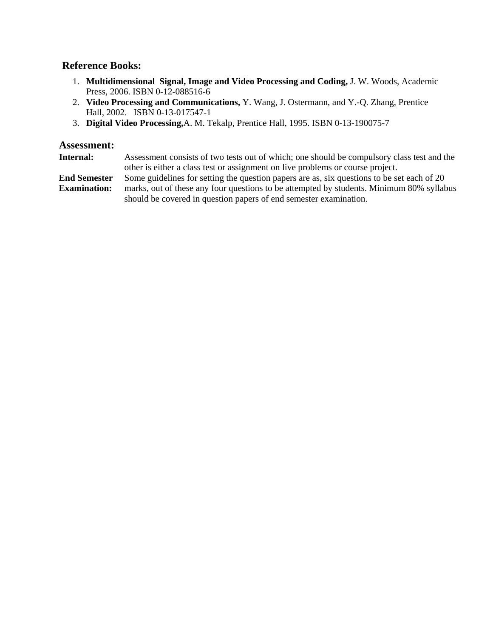#### **Reference Books:**

- 1. **Multidimensional Signal, Image and Video Processing and Coding,** J. W. Woods, Academic Press, 2006. ISBN 0-12-088516-6
- 2. **Video Processing and Communications,** Y. Wang, J. Ostermann, and Y.-Q. Zhang, Prentice Hall, 2002. ISBN 0-13-017547-1
- 3. **Digital Video Processing,**A. M. Tekalp, Prentice Hall, 1995. ISBN 0-13-190075-7

#### **Assessment:**

**Internal:** Assessment consists of two tests out of which; one should be compulsory class test and the other is either a class test or assignment on live problems or course project.

**End Semester**  Some guidelines for setting the question papers are as, six questions to be set each of 20

**Examination:** marks, out of these any four questions to be attempted by students. Minimum 80% syllabus should be covered in question papers of end semester examination.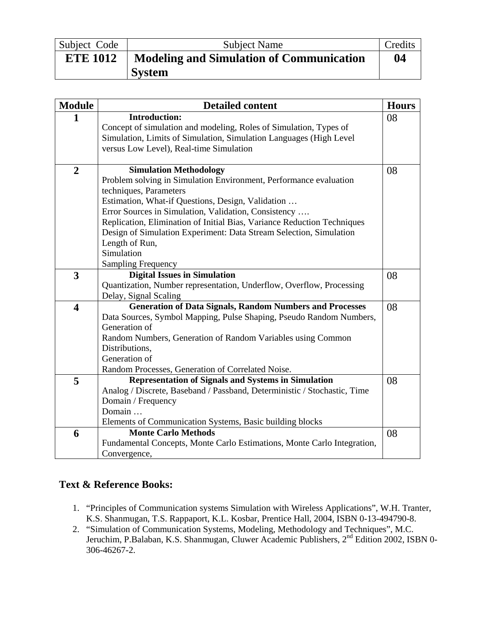| Subject Code    | <b>Subject Name</b>                             | Credits |
|-----------------|-------------------------------------------------|---------|
| <b>ETE 1012</b> | <b>Modeling and Simulation of Communication</b> | 04      |
|                 | <b>System</b>                                   |         |

| <b>Module</b>           | <b>Detailed content</b>                                                                                         | <b>Hours</b> |
|-------------------------|-----------------------------------------------------------------------------------------------------------------|--------------|
| $\mathbf{1}$            | <b>Introduction:</b>                                                                                            | 08           |
|                         | Concept of simulation and modeling, Roles of Simulation, Types of                                               |              |
|                         | Simulation, Limits of Simulation, Simulation Languages (High Level                                              |              |
|                         | versus Low Level), Real-time Simulation                                                                         |              |
| $\overline{2}$          | <b>Simulation Methodology</b>                                                                                   | 08           |
|                         | Problem solving in Simulation Environment, Performance evaluation                                               |              |
|                         | techniques, Parameters                                                                                          |              |
|                         | Estimation, What-if Questions, Design, Validation                                                               |              |
|                         | Error Sources in Simulation, Validation, Consistency                                                            |              |
|                         | Replication, Elimination of Initial Bias, Variance Reduction Techniques                                         |              |
|                         | Design of Simulation Experiment: Data Stream Selection, Simulation                                              |              |
|                         | Length of Run,                                                                                                  |              |
|                         | Simulation                                                                                                      |              |
|                         | <b>Sampling Frequency</b>                                                                                       |              |
| 3                       | <b>Digital Issues in Simulation</b>                                                                             | 08           |
|                         | Quantization, Number representation, Underflow, Overflow, Processing                                            |              |
|                         | Delay, Signal Scaling                                                                                           |              |
| $\overline{\mathbf{4}}$ | <b>Generation of Data Signals, Random Numbers and Processes</b>                                                 | 08           |
|                         | Data Sources, Symbol Mapping, Pulse Shaping, Pseudo Random Numbers,                                             |              |
|                         | Generation of                                                                                                   |              |
|                         | Random Numbers, Generation of Random Variables using Common                                                     |              |
|                         | Distributions,<br>Generation of                                                                                 |              |
|                         |                                                                                                                 |              |
|                         | Random Processes, Generation of Correlated Noise.<br><b>Representation of Signals and Systems in Simulation</b> | 08           |
| 5                       | Analog / Discrete, Baseband / Passband, Deterministic / Stochastic, Time                                        |              |
|                         | Domain / Frequency                                                                                              |              |
|                         | Domain                                                                                                          |              |
|                         | Elements of Communication Systems, Basic building blocks                                                        |              |
| 6                       | <b>Monte Carlo Methods</b>                                                                                      | 08           |
|                         | Fundamental Concepts, Monte Carlo Estimations, Monte Carlo Integration,                                         |              |
|                         | Convergence,                                                                                                    |              |

- 1. "Principles of Communication systems Simulation with Wireless Applications", W.H. Tranter, K.S. Shanmugan, T.S. Rappaport, K.L. Kosbar, Prentice Hall, 2004, ISBN 0-13-494790-8.
- 2. "Simulation of Communication Systems, Modeling, Methodology and Techniques", M.C. Jeruchim, P.Balaban, K.S. Shanmugan, Cluwer Academic Publishers, 2<sup>nd</sup> Edition 2002, ISBN 0-306-46267-2.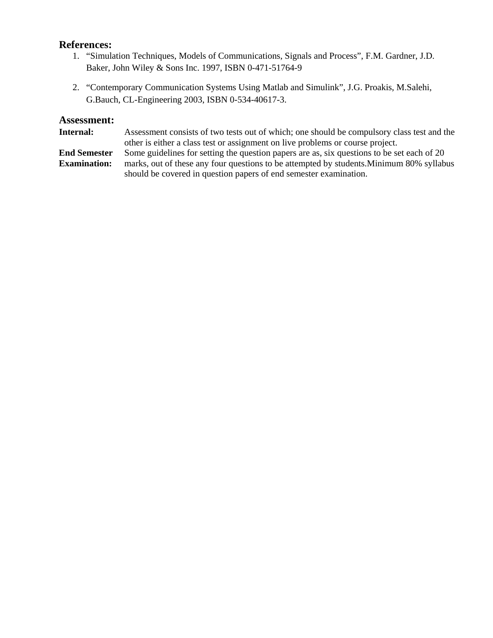#### **References:**

- 1. "Simulation Techniques, Models of Communications, Signals and Process", F.M. Gardner, J.D. Baker, John Wiley & Sons Inc. 1997, ISBN 0-471-51764-9
- 2. "Contemporary Communication Systems Using Matlab and Simulink", J.G. Proakis, M.Salehi, G.Bauch, CL-Engineering 2003, ISBN 0-534-40617-3.

#### **Assessment:**

**Internal:** Assessment consists of two tests out of which; one should be compulsory class test and the other is either a class test or assignment on live problems or course project. **End Semester Examination:** Some guidelines for setting the question papers are as, six questions to be set each of 20 marks, out of these any four questions to be attempted by students.Minimum 80% syllabus should be covered in question papers of end semester examination.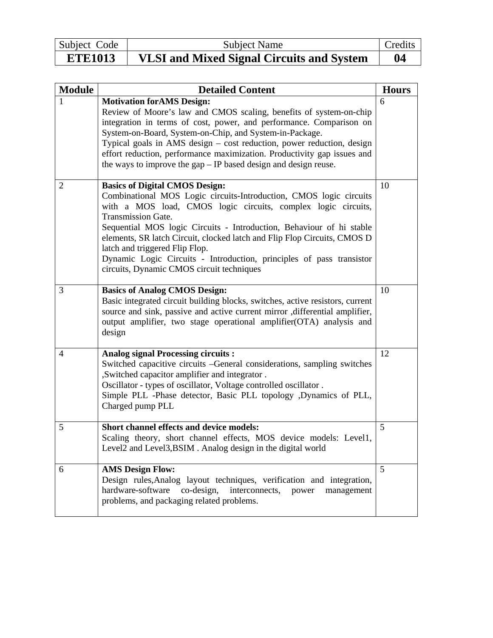| Subject Code   | Subject Name                                     | Credits |
|----------------|--------------------------------------------------|---------|
| <b>ETE1013</b> | <b>VLSI and Mixed Signal Circuits and System</b> | 04      |

| <b>Module</b> | <b>Detailed Content</b>                                                                                                                                                                                                                                                                                                                                                                                                                                                                                              | <b>Hours</b> |
|---------------|----------------------------------------------------------------------------------------------------------------------------------------------------------------------------------------------------------------------------------------------------------------------------------------------------------------------------------------------------------------------------------------------------------------------------------------------------------------------------------------------------------------------|--------------|
| 1             | <b>Motivation for AMS Design:</b><br>Review of Moore's law and CMOS scaling, benefits of system-on-chip<br>integration in terms of cost, power, and performance. Comparison on<br>System-on-Board, System-on-Chip, and System-in-Package.<br>Typical goals in AMS design - cost reduction, power reduction, design<br>effort reduction, performance maximization. Productivity gap issues and<br>the ways to improve the gap - IP based design and design reuse.                                                     | 6            |
| 2             | <b>Basics of Digital CMOS Design:</b><br>Combinational MOS Logic circuits-Introduction, CMOS logic circuits<br>with a MOS load, CMOS logic circuits, complex logic circuits,<br><b>Transmission Gate.</b><br>Sequential MOS logic Circuits - Introduction, Behaviour of hi stable<br>elements, SR latch Circuit, clocked latch and Flip Flop Circuits, CMOS D<br>latch and triggered Flip Flop.<br>Dynamic Logic Circuits - Introduction, principles of pass transistor<br>circuits, Dynamic CMOS circuit techniques | 10           |
| 3             | <b>Basics of Analog CMOS Design:</b><br>Basic integrated circuit building blocks, switches, active resistors, current<br>source and sink, passive and active current mirror , differential amplifier,<br>output amplifier, two stage operational amplifier(OTA) analysis and<br>design                                                                                                                                                                                                                               | 10           |
| 4             | <b>Analog signal Processing circuits:</b><br>Switched capacitive circuits -General considerations, sampling switches<br>, Switched capacitor amplifier and integrator.<br>Oscillator - types of oscillator, Voltage controlled oscillator.<br>Simple PLL -Phase detector, Basic PLL topology ,Dynamics of PLL,<br>Charged pump PLL                                                                                                                                                                                   | 12           |
| 5             | Short channel effects and device models:<br>Scaling theory, short channel effects, MOS device models: Level1,<br>Level2 and Level3, BSIM. Analog design in the digital world                                                                                                                                                                                                                                                                                                                                         | 5            |
| 6             | <b>AMS Design Flow:</b><br>Design rules, Analog layout techniques, verification and integration,<br>hardware-software<br>co-design,<br>interconnects,<br>power<br>management<br>problems, and packaging related problems.                                                                                                                                                                                                                                                                                            | 5            |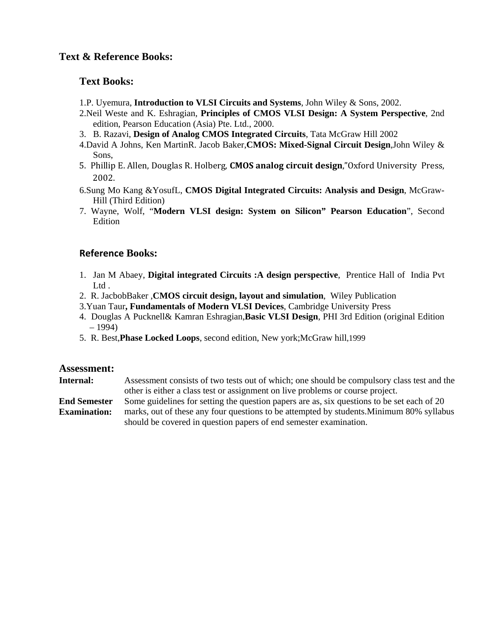#### **Text Books:**

- 1.P. Uyemura, **Introduction to VLSI Circuits and Systems**, John Wiley & Sons, 2002.
- 2.Neil Weste and K. Eshragian, **Principles of CMOS VLSI Design: A System Perspective**, 2nd edition, Pearson Education (Asia) Pte. Ltd., 2000.
- 3. B. Razavi, **Design of Analog CMOS Integrated Circuits**, Tata McGraw Hill 2002
- 4.David A Johns, Ken MartinR. Jacob Baker,**CMOS: Mixed-Signal Circuit Design**,John Wiley & Sons,
- 5. Phillip E. Allen, Douglas R. Holberg, **CMOS analog circuit design**,"Oxford University Press, 2002.
- 6.Sung Mo Kang &YosufL, **CMOS Digital Integrated Circuits: Analysis and Design**, McGraw-Hill (Third Edition)
- 7. Wayne, Wolf, "**Modern VLSI design: System on Silicon" Pearson Education**", Second Edition

#### **Reference Books:**

- 1. Jan M Abaey, **Digital integrated Circuits :A design perspective**, Prentice Hall of India Pvt L<sub>td</sub>
- 2. R. JacbobBaker ,**CMOS circuit design, layout and simulation**, Wiley Publication
- 3.Yuan Taur**, Fundamentals of Modern VLSI Devices**, Cambridge University Press
- 4. Douglas A Pucknell& Kamran Eshragian,**Basic VLSI Design**, PHI 3rd Edition (original Edition – 1994)
- 5. R. Best,**Phase Locked Loops**, second edition, New york;McGraw hill,1999

#### **Assessment:**

**Internal:** Assessment consists of two tests out of which; one should be compulsory class test and the other is either a class test or assignment on live problems or course project.

**End Semester Examination:** Some guidelines for setting the question papers are as, six questions to be set each of 20 marks, out of these any four questions to be attempted by students.Minimum 80% syllabus should be covered in question papers of end semester examination.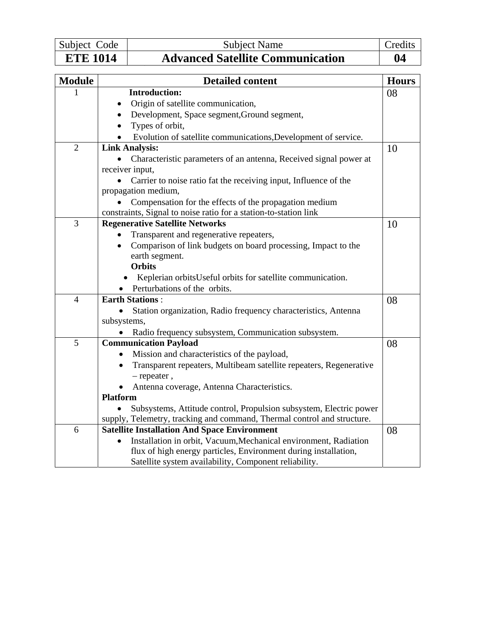| Subject Code    | Subject Name                            | Credits |
|-----------------|-----------------------------------------|---------|
| <b>ETE 1014</b> | <b>Advanced Satellite Communication</b> | 04      |

| <b>Module</b>  | <b>Detailed content</b>                                                       | <b>Hours</b> |
|----------------|-------------------------------------------------------------------------------|--------------|
| 1              | <b>Introduction:</b>                                                          | 08           |
|                | Origin of satellite communication,                                            |              |
|                | Development, Space segment, Ground segment,<br>$\bullet$                      |              |
|                | Types of orbit,                                                               |              |
|                | Evolution of satellite communications, Development of service.                |              |
| $\overline{2}$ | <b>Link Analysis:</b>                                                         | 10           |
|                | Characteristic parameters of an antenna, Received signal power at             |              |
|                | receiver input,                                                               |              |
|                | Carrier to noise ratio fat the receiving input, Influence of the              |              |
|                | propagation medium,                                                           |              |
|                | Compensation for the effects of the propagation medium                        |              |
|                | constraints, Signal to noise ratio for a station-to-station link              |              |
| 3              | <b>Regenerative Satellite Networks</b>                                        | 10           |
|                | Transparent and regenerative repeaters,                                       |              |
|                | Comparison of link budgets on board processing, Impact to the                 |              |
|                | earth segment.                                                                |              |
|                | <b>Orbits</b>                                                                 |              |
|                | Keplerian orbits Useful orbits for satellite communication.                   |              |
|                | Perturbations of the orbits.                                                  |              |
| $\overline{4}$ | <b>Earth Stations:</b>                                                        | 08           |
|                | Station organization, Radio frequency characteristics, Antenna                |              |
|                | subsystems,                                                                   |              |
| $\overline{5}$ | Radio frequency subsystem, Communication subsystem.                           |              |
|                | <b>Communication Payload</b>                                                  | 08           |
|                | Mission and characteristics of the payload,<br>$\bullet$                      |              |
|                | Transparent repeaters, Multibeam satellite repeaters, Regenerative            |              |
|                | $-$ repeater,                                                                 |              |
|                | Antenna coverage, Antenna Characteristics.<br><b>Platform</b>                 |              |
|                | Subsystems, Attitude control, Propulsion subsystem, Electric power            |              |
|                | supply, Telemetry, tracking and command, Thermal control and structure.       |              |
| 6              | <b>Satellite Installation And Space Environment</b>                           | 08           |
|                | Installation in orbit, Vacuum, Mechanical environment, Radiation<br>$\bullet$ |              |
|                | flux of high energy particles, Environment during installation,               |              |
|                | Satellite system availability, Component reliability.                         |              |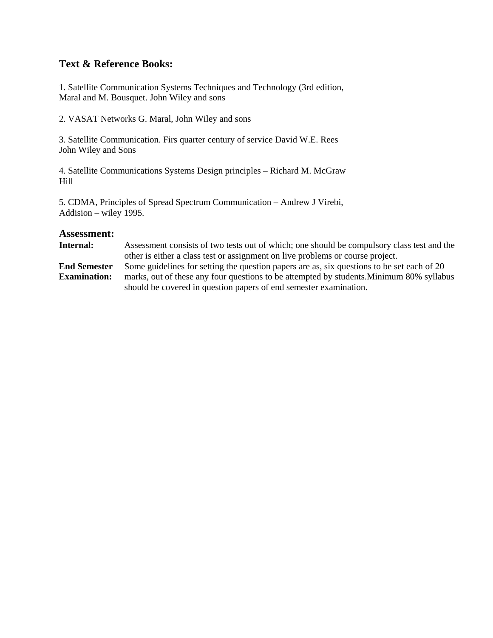1. Satellite Communication Systems Techniques and Technology (3rd edition, Maral and M. Bousquet. John Wiley and sons

2. VASAT Networks G. Maral, John Wiley and sons

3. Satellite Communication. Firs quarter century of service David W.E. Rees John Wiley and Sons

4. Satellite Communications Systems Design principles – Richard M. McGraw Hill

5. CDMA, Principles of Spread Spectrum Communication – Andrew J Virebi, Addision – wiley 1995.

#### **Assessment:**

**Internal:** Assessment consists of two tests out of which; one should be compulsory class test and the other is either a class test or assignment on live problems or course project. **End Semester Examination:** Some guidelines for setting the question papers are as, six questions to be set each of 20 marks, out of these any four questions to be attempted by students.Minimum 80% syllabus should be covered in question papers of end semester examination.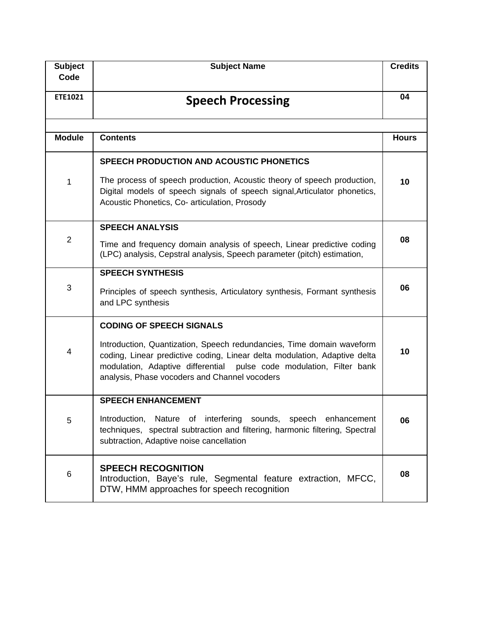| <b>Subject</b> | <b>Subject Name</b>                                                                                                                                                                                                                                                         | <b>Credits</b> |
|----------------|-----------------------------------------------------------------------------------------------------------------------------------------------------------------------------------------------------------------------------------------------------------------------------|----------------|
| Code           |                                                                                                                                                                                                                                                                             |                |
| ETE1021        | <b>Speech Processing</b>                                                                                                                                                                                                                                                    | 04             |
|                |                                                                                                                                                                                                                                                                             |                |
| <b>Module</b>  | <b>Contents</b>                                                                                                                                                                                                                                                             | <b>Hours</b>   |
|                | <b>SPEECH PRODUCTION AND ACOUSTIC PHONETICS</b>                                                                                                                                                                                                                             |                |
| 1              | The process of speech production, Acoustic theory of speech production,<br>Digital models of speech signals of speech signal, Articulator phonetics,<br>Acoustic Phonetics, Co- articulation, Prosody                                                                       | 10             |
|                | <b>SPEECH ANALYSIS</b>                                                                                                                                                                                                                                                      |                |
| $\overline{2}$ | Time and frequency domain analysis of speech, Linear predictive coding<br>(LPC) analysis, Cepstral analysis, Speech parameter (pitch) estimation,                                                                                                                           | 08             |
| 3              | <b>SPEECH SYNTHESIS</b>                                                                                                                                                                                                                                                     |                |
|                | Principles of speech synthesis, Articulatory synthesis, Formant synthesis<br>and LPC synthesis                                                                                                                                                                              | 06             |
|                | <b>CODING OF SPEECH SIGNALS</b>                                                                                                                                                                                                                                             |                |
| 4              | Introduction, Quantization, Speech redundancies, Time domain waveform<br>coding, Linear predictive coding, Linear delta modulation, Adaptive delta<br>modulation, Adaptive differential pulse code modulation, Filter bank<br>analysis, Phase vocoders and Channel vocoders | 10             |
|                | <b>SPEECH ENHANCEMENT</b>                                                                                                                                                                                                                                                   |                |
| 5              | Introduction, Nature of interfering sounds, speech enhancement<br>techniques, spectral subtraction and filtering, harmonic filtering, Spectral<br>subtraction, Adaptive noise cancellation                                                                                  | Ub             |
| 6              | <b>SPEECH RECOGNITION</b><br>Introduction, Baye's rule, Segmental feature extraction, MFCC,<br>DTW, HMM approaches for speech recognition                                                                                                                                   | 08             |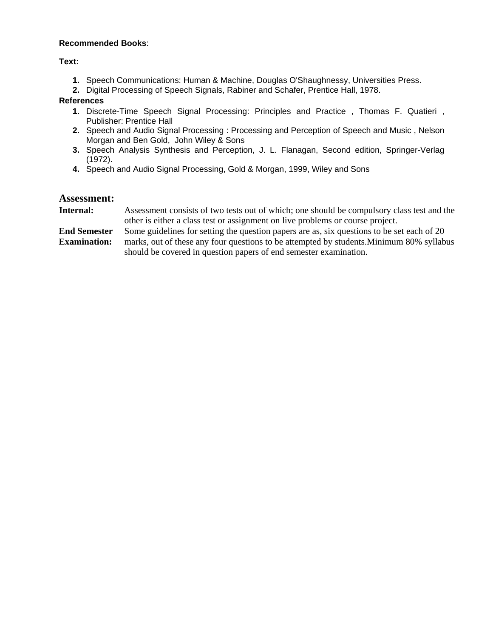#### **Recommended Books**:

**Text:** 

- **1.** Speech Communications: Human & Machine, Douglas O'Shaughnessy, Universities Press.
- **2.** Digital Processing of Speech Signals, Rabiner and Schafer, Prentice Hall, 1978.

#### **References**

- **1.** Discrete-Time Speech Signal Processing: Principles and Practice , Thomas F. Quatieri , Publisher: Prentice Hall
- **2.** Speech and Audio Signal Processing : Processing and Perception of Speech and Music , Nelson Morgan and Ben Gold, John Wiley & Sons
- **3.** Speech Analysis Synthesis and Perception, J. L. Flanagan, Second edition, Springer-Verlag (1972).
- **4.** Speech and Audio Signal Processing, Gold & Morgan, 1999, Wiley and Sons

- **Internal:** Assessment consists of two tests out of which; one should be compulsory class test and the other is either a class test or assignment on live problems or course project.
- **End Semester Examination:** Some guidelines for setting the question papers are as, six questions to be set each of 20 marks, out of these any four questions to be attempted by students.Minimum 80% syllabus should be covered in question papers of end semester examination.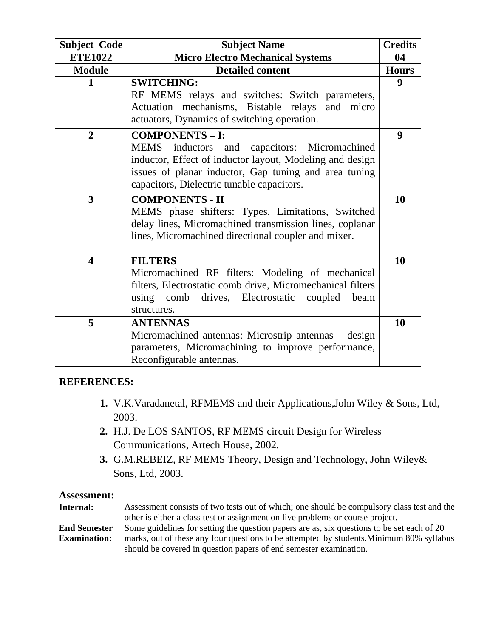| <b>Subject Code</b>     | <b>Subject Name</b>                                                                                                                                                                                                                       | <b>Credits</b> |
|-------------------------|-------------------------------------------------------------------------------------------------------------------------------------------------------------------------------------------------------------------------------------------|----------------|
| <b>ETE1022</b>          | <b>Micro Electro Mechanical Systems</b>                                                                                                                                                                                                   |                |
| <b>Module</b>           | <b>Detailed content</b>                                                                                                                                                                                                                   | <b>Hours</b>   |
| 1                       | <b>SWITCHING:</b><br>RF MEMS relays and switches: Switch parameters,<br>Actuation mechanisms, Bistable relays and micro<br>actuators, Dynamics of switching operation.                                                                    | 9              |
| $\overline{2}$          | <b>COMPONENTS - I:</b><br>MEMS inductors and capacitors: Micromachined<br>inductor, Effect of inductor layout, Modeling and design<br>issues of planar inductor, Gap tuning and area tuning<br>capacitors, Dielectric tunable capacitors. | 9              |
| 3                       | <b>COMPONENTS - II</b><br>MEMS phase shifters: Types. Limitations, Switched<br>delay lines, Micromachined transmission lines, coplanar<br>lines, Micromachined directional coupler and mixer.                                             | 10             |
| $\overline{\mathbf{4}}$ | <b>FILTERS</b><br>Micromachined RF filters: Modeling of mechanical<br>filters, Electrostatic comb drive, Micromechanical filters<br>comb drives, Electrostatic<br>using<br>coupled<br>beam<br>structures.                                 | 10             |
| 5                       | <b>ANTENNAS</b><br>Micromachined antennas: Microstrip antennas - design<br>parameters, Micromachining to improve performance,<br>Reconfigurable antennas.                                                                                 | 10             |

## **REFERENCES:**

- **1.** V.K.Varadanetal, RFMEMS and their Applications,John Wiley & Sons, Ltd, 2003.
- **2.** H.J. De LOS SANTOS, RF MEMS circuit Design for Wireless Communications, Artech House, 2002.
- **3.** G.M.REBEIZ, RF MEMS Theory, Design and Technology, John Wiley& Sons, Ltd, 2003.

| Internal:           | Assessment consists of two tests out of which; one should be compulsory class test and the |
|---------------------|--------------------------------------------------------------------------------------------|
|                     | other is either a class test or assignment on live problems or course project.             |
| <b>End Semester</b> | Some guidelines for setting the question papers are as, six questions to be set each of 20 |
| <b>Examination:</b> | marks, out of these any four questions to be attempted by students. Minimum 80% syllabus   |
|                     | should be covered in question papers of end semester examination.                          |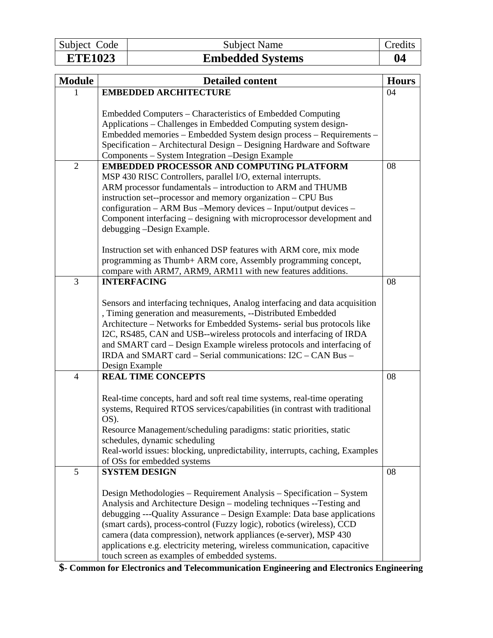Subject Code Subject Name Credits<br>
ETE1023 Embedded Systems 04

# **Embedded Systems 04**

| <b>Module</b>  | <b>Detailed content</b>                                                                                                                                                                                                                                                                                                                                                                                                                                                                               | <b>Hours</b> |
|----------------|-------------------------------------------------------------------------------------------------------------------------------------------------------------------------------------------------------------------------------------------------------------------------------------------------------------------------------------------------------------------------------------------------------------------------------------------------------------------------------------------------------|--------------|
|                | <b>EMBEDDED ARCHITECTURE</b>                                                                                                                                                                                                                                                                                                                                                                                                                                                                          | 04           |
|                | Embedded Computers – Characteristics of Embedded Computing<br>Applications - Challenges in Embedded Computing system design-<br>Embedded memories - Embedded System design process - Requirements -<br>Specification – Architectural Design – Designing Hardware and Software<br>Components - System Integration - Design Example                                                                                                                                                                     |              |
| $\overline{2}$ | <b>EMBEDDED PROCESSOR AND COMPUTING PLATFORM</b>                                                                                                                                                                                                                                                                                                                                                                                                                                                      | 08           |
|                | MSP 430 RISC Controllers, parallel I/O, external interrupts.<br>ARM processor fundamentals - introduction to ARM and THUMB<br>instruction set--processor and memory organization - CPU Bus<br>configuration - ARM Bus - Memory devices - Input/output devices -<br>Component interfacing – designing with microprocessor development and<br>debugging -Design Example.                                                                                                                                |              |
|                | Instruction set with enhanced DSP features with ARM core, mix mode<br>programming as Thumb+ ARM core, Assembly programming concept,                                                                                                                                                                                                                                                                                                                                                                   |              |
| 3              | compare with ARM7, ARM9, ARM11 with new features additions.<br><b>INTERFACING</b>                                                                                                                                                                                                                                                                                                                                                                                                                     | 08           |
|                | Sensors and interfacing techniques, Analog interfacing and data acquisition<br>, Timing generation and measurements, --Distributed Embedded<br>Architecture – Networks for Embedded Systems- serial bus protocols like<br>I2C, RS485, CAN and USB--wireless protocols and interfacing of IRDA<br>and SMART card - Design Example wireless protocols and interfacing of<br>IRDA and SMART card - Serial communications: I2C - CAN Bus -<br>Design Example                                              |              |
| $\overline{4}$ | <b>REAL TIME CONCEPTS</b>                                                                                                                                                                                                                                                                                                                                                                                                                                                                             | 08           |
|                | Real-time concepts, hard and soft real time systems, real-time operating<br>systems, Required RTOS services/capabilities (in contrast with traditional<br>OS).<br>Resource Management/scheduling paradigms: static priorities, static<br>schedules, dynamic scheduling<br>Real-world issues: blocking, unpredictability, interrupts, caching, Examples<br>of OSs for embedded systems                                                                                                                 |              |
| 5              | <b>SYSTEM DESIGN</b>                                                                                                                                                                                                                                                                                                                                                                                                                                                                                  | 08           |
|                | Design Methodologies – Requirement Analysis – Specification – System<br>Analysis and Architecture Design – modeling techniques --Testing and<br>debugging ---Quality Assurance – Design Example: Data base applications<br>(smart cards), process-control (Fuzzy logic), robotics (wireless), CCD<br>camera (data compression), network appliances (e-server), MSP 430<br>applications e.g. electricity metering, wireless communication, capacitive<br>touch screen as examples of embedded systems. |              |

**\$- Common for Electronics and Telecommunication Engineering and Electronics Engineering**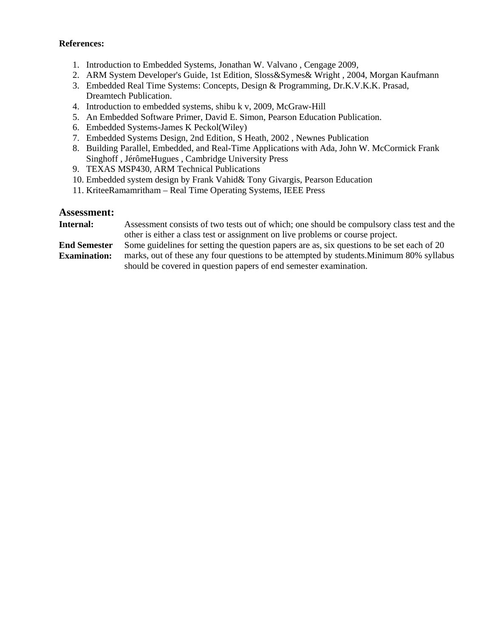#### **References:**

- 1. Introduction to Embedded Systems, Jonathan W. Valvano , Cengage 2009,
- 2. ARM System Developer's Guide, 1st Edition, Sloss&Symes& Wright , 2004, Morgan Kaufmann
- 3. Embedded Real Time Systems: Concepts, Design & Programming, Dr.K.V.K.K. Prasad, Dreamtech Publication.
- 4. Introduction to embedded systems, shibu k v, 2009, McGraw-Hill
- 5. An Embedded Software Primer, David E. Simon, Pearson Education Publication.
- 6. Embedded Systems-James K Peckol(Wiley)
- 7. Embedded Systems Design, 2nd Edition, S Heath, 2002 , Newnes Publication
- 8. Building Parallel, Embedded, and Real-Time Applications with Ada, John W. McCormick Frank Singhoff , JérômeHugues , Cambridge University Press
- 9. TEXAS MSP430, ARM Technical Publications
- 10. Embedded system design by Frank Vahid& Tony Givargis, Pearson Education
- 11. KriteeRamamritham Real Time Operating Systems, IEEE Press

#### **Assessment:**

| Internal: | Assessment consists of two tests out of which; one should be compulsory class test and the |  |  |  |  |  |
|-----------|--------------------------------------------------------------------------------------------|--|--|--|--|--|
|           | other is either a class test or assignment on live problems or course project.             |  |  |  |  |  |
| - - -     |                                                                                            |  |  |  |  |  |

**End Semester Examination:** Some guidelines for setting the question papers are as, six questions to be set each of 20 marks, out of these any four questions to be attempted by students.Minimum 80% syllabus should be covered in question papers of end semester examination.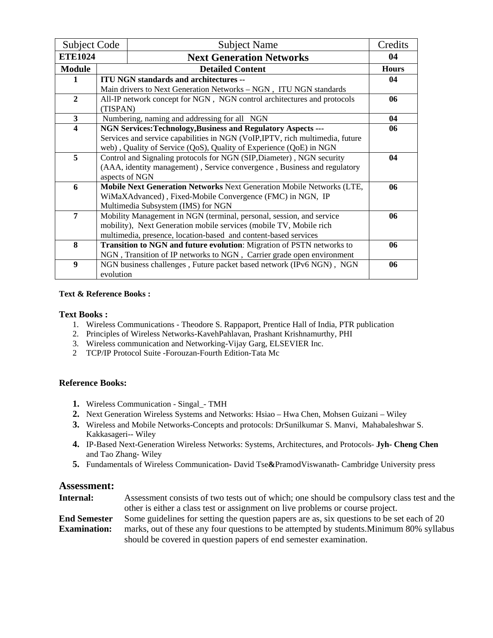| <b>Subject Code</b>     |                                                                    | <b>Subject Name</b>                                                           |    |  |  |  |
|-------------------------|--------------------------------------------------------------------|-------------------------------------------------------------------------------|----|--|--|--|
|                         | <b>ETE1024</b><br><b>Next Generation Networks</b>                  |                                                                               | 04 |  |  |  |
| <b>Module</b>           |                                                                    | <b>Detailed Content</b>                                                       |    |  |  |  |
|                         |                                                                    | <b>ITU NGN standards and architectures --</b>                                 | 04 |  |  |  |
|                         |                                                                    | Main drivers to Next Generation Networks - NGN, ITU NGN standards             |    |  |  |  |
| $\overline{2}$          |                                                                    | All-IP network concept for NGN, NGN control architectures and protocols       | 06 |  |  |  |
|                         | (TISPAN)                                                           |                                                                               |    |  |  |  |
| 3                       |                                                                    | Numbering, naming and addressing for all NGN                                  | 04 |  |  |  |
| $\overline{\mathbf{4}}$ |                                                                    | <b>NGN Services: Technology, Business and Regulatory Aspects ---</b>          | 06 |  |  |  |
|                         |                                                                    | Services and service capabilities in NGN (VoIP, IPTV, rich multimedia, future |    |  |  |  |
|                         | web), Quality of Service (QoS), Quality of Experience (QoE) in NGN |                                                                               |    |  |  |  |
| 5                       |                                                                    | Control and Signaling protocols for NGN (SIP, Diameter), NGN security         | 04 |  |  |  |
|                         |                                                                    | (AAA, identity management), Service convergence, Business and regulatory      |    |  |  |  |
|                         |                                                                    | aspects of NGN                                                                |    |  |  |  |
| 6                       |                                                                    | Mobile Next Generation Networks Next Generation Mobile Networks (LTE,         | 06 |  |  |  |
|                         |                                                                    | WiMaXAdvanced), Fixed-Mobile Convergence (FMC) in NGN, IP                     |    |  |  |  |
|                         |                                                                    | Multimedia Subsystem (IMS) for NGN                                            |    |  |  |  |
| $\overline{7}$          |                                                                    | Mobility Management in NGN (terminal, personal, session, and service          | 06 |  |  |  |
|                         |                                                                    | mobility), Next Generation mobile services (mobile TV, Mobile rich            |    |  |  |  |
|                         | multimedia, presence, location-based and content-based services    |                                                                               |    |  |  |  |
| 8                       |                                                                    | Transition to NGN and future evolution: Migration of PSTN networks to         | 06 |  |  |  |
|                         |                                                                    | NGN, Transition of IP networks to NGN, Carrier grade open environment         |    |  |  |  |
| 9                       |                                                                    | NGN business challenges, Future packet based network (IPv6 NGN), NGN          | 06 |  |  |  |
|                         | evolution                                                          |                                                                               |    |  |  |  |

#### **Text Books :**

- 1. Wireless Communications Theodore S. Rappaport, Prentice Hall of India, PTR publication
- 2. Principles of Wireless Networks-KavehPahlavan, Prashant Krishnamurthy, PHI
- 3. Wireless communication and Networking-Vijay Garg, ELSEVIER Inc.
- 2 TCP/IP Protocol Suite -Forouzan-Fourth Edition-Tata Mc

#### **Reference Books:**

- **1.** Wireless Communication Singal\_- TMH
- **2.** Next Generation Wireless Systems and Networks: Hsiao Hwa Chen, Mohsen Guizani Wiley
- **3.** Wireless and Mobile Networks-Concepts and protocols: DrSunilkumar S. Manvi, Mahabaleshwar S. Kakkasageri-- Wiley
- **4.** IP-Based Next-Generation Wireless Networks: Systems, Architectures, and Protocols- **Jyh- Cheng Chen** and Tao Zhang- Wiley
- **5.** Fundamentals of Wireless CommunicationDavid Tse**&**PramodViswanathCambridge University press

| Internal:           | Assessment consists of two tests out of which; one should be compulsory class test and the |
|---------------------|--------------------------------------------------------------------------------------------|
|                     | other is either a class test or assignment on live problems or course project.             |
| <b>End Semester</b> | Some guidelines for setting the question papers are as, six questions to be set each of 20 |
| <b>Examination:</b> | marks, out of these any four questions to be attempted by students. Minimum 80% syllabus   |
|                     | should be covered in question papers of end semester examination.                          |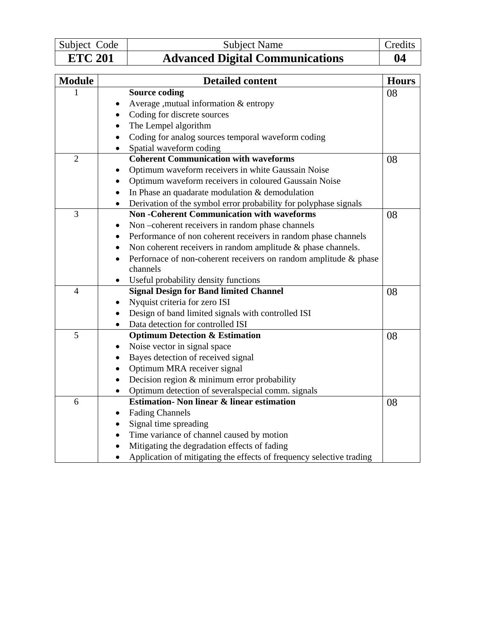| Subject Code   | Subject Name                           | Credits |
|----------------|----------------------------------------|---------|
| <b>ETC 201</b> | <b>Advanced Digital Communications</b> | 04      |

| <b>Module</b>  | <b>Detailed content</b>                                                       | <b>Hours</b> |
|----------------|-------------------------------------------------------------------------------|--------------|
|                | <b>Source coding</b>                                                          | 08           |
|                | Average , mutual information & entropy<br>٠                                   |              |
|                | Coding for discrete sources                                                   |              |
|                | The Lempel algorithm<br>$\bullet$                                             |              |
|                | Coding for analog sources temporal waveform coding<br>$\bullet$               |              |
|                | Spatial waveform coding<br>$\bullet$                                          |              |
| $\overline{2}$ | <b>Coherent Communication with waveforms</b>                                  | 08           |
|                | Optimum waveform receivers in white Gaussain Noise                            |              |
|                | Optimum waveform receivers in coloured Gaussain Noise                         |              |
|                | In Phase an quadarate modulation & demodulation<br>$\bullet$                  |              |
|                | Derivation of the symbol error probability for polyphase signals<br>$\bullet$ |              |
| 3              | <b>Non-Coherent Communication with waveforms</b>                              | 08           |
|                | Non-coherent receivers in random phase channels                               |              |
|                | Performance of non coherent receivers in random phase channels<br>$\bullet$   |              |
|                | Non coherent receivers in random amplitude & phase channels.<br>$\bullet$     |              |
|                | Performace of non-coherent receivers on random amplitude & phase<br>$\bullet$ |              |
|                | channels                                                                      |              |
|                | Useful probability density functions                                          |              |
| $\overline{4}$ | <b>Signal Design for Band limited Channel</b>                                 | 08           |
|                | Nyquist criteria for zero ISI                                                 |              |
|                | Design of band limited signals with controlled ISI                            |              |
|                | Data detection for controlled ISI<br>$\bullet$                                |              |
| 5              | <b>Optimum Detection &amp; Estimation</b>                                     | 08           |
|                | Noise vector in signal space                                                  |              |
|                | Bayes detection of received signal                                            |              |
|                | Optimum MRA receiver signal<br>$\bullet$                                      |              |
|                | Decision region & minimum error probability<br>$\bullet$                      |              |
|                | Optimum detection of several special comm. signals<br>$\bullet$               |              |
| 6              | <b>Estimation- Non linear &amp; linear estimation</b>                         | 08           |
|                | <b>Fading Channels</b>                                                        |              |
|                | Signal time spreading                                                         |              |
|                | Time variance of channel caused by motion<br>$\bullet$                        |              |
|                | Mitigating the degradation effects of fading                                  |              |
|                | Application of mitigating the effects of frequency selective trading          |              |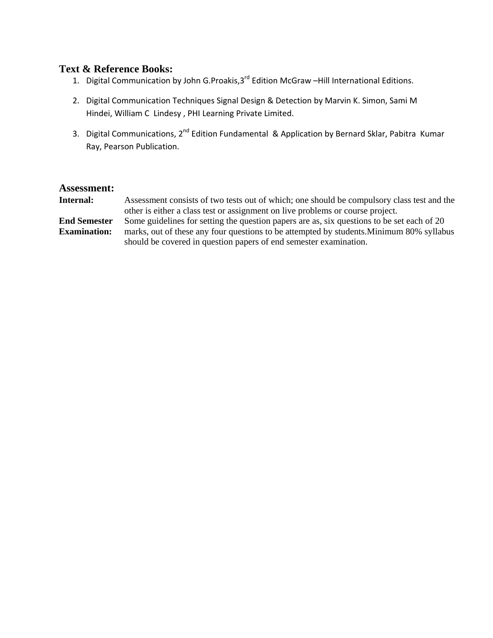- 1. Digital Communication by John G.Proakis,  $3^{rd}$  Edition McGraw –Hill International Editions.
- 2. Digital Communication Techniques Signal Design & Detection by Marvin K. Simon, Sami M Hindei, William C Lindesy , PHI Learning Private Limited.
- 3. Digital Communications, 2<sup>nd</sup> Edition Fundamental & Application by Bernard Sklar, Pabitra Kumar Ray, Pearson Publication.

| Internal:           | Assessment consists of two tests out of which; one should be compulsory class test and the |
|---------------------|--------------------------------------------------------------------------------------------|
|                     | other is either a class test or assignment on live problems or course project.             |
| <b>End Semester</b> | Some guidelines for setting the question papers are as, six questions to be set each of 20 |
| <b>Examination:</b> | marks, out of these any four questions to be attempted by students. Minimum 80% syllabus   |
|                     | should be covered in question papers of end semester examination.                          |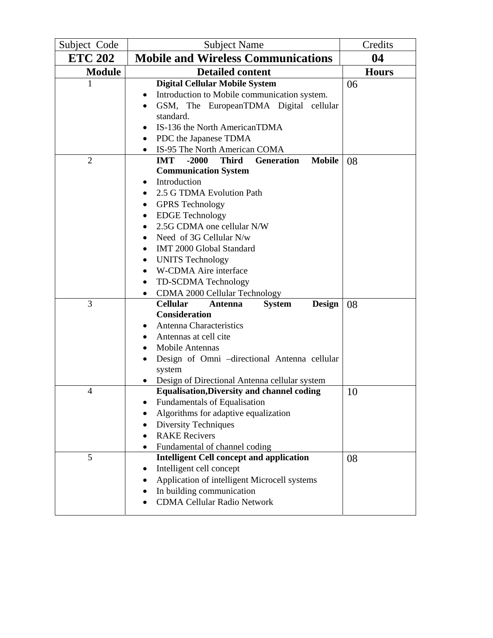| Subject Code   | <b>Subject Name</b>                                                                                                                                                                                                                                                                                                           | Credits      |
|----------------|-------------------------------------------------------------------------------------------------------------------------------------------------------------------------------------------------------------------------------------------------------------------------------------------------------------------------------|--------------|
| <b>ETC 202</b> | <b>Mobile and Wireless Communications</b>                                                                                                                                                                                                                                                                                     | 04           |
| <b>Module</b>  | <b>Detailed content</b>                                                                                                                                                                                                                                                                                                       | <b>Hours</b> |
| 1              | <b>Digital Cellular Mobile System</b><br>Introduction to Mobile communication system.<br>GSM, The EuropeanTDMA Digital cellular<br>standard.<br>IS-136 the North AmericanTDMA                                                                                                                                                 | 06           |
| $\overline{2}$ | PDC the Japanese TDMA<br>٠<br>IS-95 The North American COMA<br>$\bullet$<br><b>Mobile</b><br><b>IMT</b><br>$-2000$<br><b>Third</b><br><b>Generation</b>                                                                                                                                                                       |              |
|                | <b>Communication System</b><br>Introduction<br>2.5 G TDMA Evolution Path<br><b>GPRS</b> Technology<br><b>EDGE</b> Technology<br>2.5G CDMA one cellular N/W<br>Need of 3G Cellular N/w<br>IMT 2000 Global Standard<br><b>UNITS Technology</b><br>W-CDMA Aire interface<br>TD-SCDMA Technology<br>CDMA 2000 Cellular Technology | 08           |
| 3              | <b>Cellular</b><br><b>System</b><br><b>Design</b><br>Antenna<br><b>Consideration</b><br>Antenna Characteristics<br>Antennas at cell cite<br>Mobile Antennas<br>Design of Omni -directional Antenna cellular<br>system<br>Design of Directional Antenna cellular system                                                        | 08           |
| 4              | <b>Equalisation, Diversity and channel coding</b><br>Fundamentals of Equalisation<br>Algorithms for adaptive equalization<br><b>Diversity Techniques</b><br><b>RAKE</b> Recivers<br>Fundamental of channel coding<br>$\bullet$                                                                                                | 10           |
| 5              | <b>Intelligent Cell concept and application</b><br>Intelligent cell concept<br>Application of intelligent Microcell systems<br>In building communication<br><b>CDMA Cellular Radio Network</b>                                                                                                                                | 08           |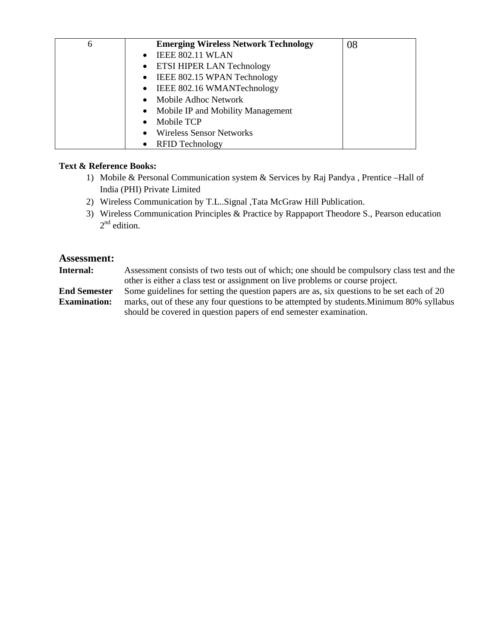| 6 | <b>Emerging Wireless Network Technology</b>    | 08 |
|---|------------------------------------------------|----|
|   | <b>IEEE 802.11 WLAN</b><br>$\bullet$           |    |
|   | • ETSI HIPER LAN Technology                    |    |
|   | IEEE 802.15 WPAN Technology<br>$\bullet$       |    |
|   | IEEE 802.16 WMANTechnology<br>$\bullet$        |    |
|   | Mobile Adhoc Network<br>$\bullet$              |    |
|   | Mobile IP and Mobility Management<br>$\bullet$ |    |
|   | Mobile TCP<br>$\bullet$                        |    |
|   | <b>Wireless Sensor Networks</b><br>$\bullet$   |    |
|   | <b>RFID Technology</b><br>$\bullet$            |    |

- 1) Mobile & Personal Communication system & Services by Raj Pandya , Prentice –Hall of India (PHI) Private Limited
- 2) Wireless Communication by T.L..Signal ,Tata McGraw Hill Publication.
- 3) Wireless Communication Principles & Practice by Rappaport Theodore S., Pearson education  $2<sup>nd</sup>$  edition.

#### **Assessment:**

**Internal:** Assessment consists of two tests out of which; one should be compulsory class test and the other is either a class test or assignment on live problems or course project.

**End Semester Examination:** Some guidelines for setting the question papers are as, six questions to be set each of 20 marks, out of these any four questions to be attempted by students.Minimum 80% syllabus should be covered in question papers of end semester examination.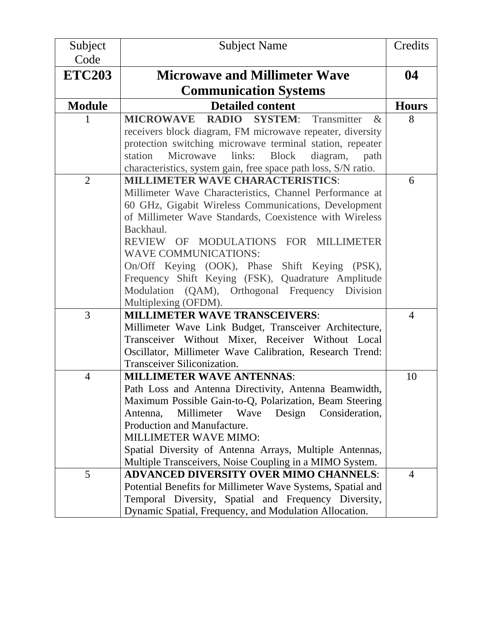| Subject        | <b>Subject Name</b>                                                                                      | Credits        |
|----------------|----------------------------------------------------------------------------------------------------------|----------------|
| Code           |                                                                                                          |                |
| <b>ETC203</b>  | <b>Microwave and Millimeter Wave</b>                                                                     | 04             |
|                | <b>Communication Systems</b>                                                                             |                |
| <b>Module</b>  | <b>Detailed content</b>                                                                                  | <b>Hours</b>   |
| L              | Transmitter<br><b>MICROWAVE</b><br>RADIO SYSTEM:<br>$\&$                                                 | 8              |
|                | receivers block diagram, FM microwave repeater, diversity                                                |                |
|                | protection switching microwave terminal station, repeater                                                |                |
|                | station<br>links:<br>Microwave<br><b>Block</b><br>diagram, path                                          |                |
|                | characteristics, system gain, free space path loss, S/N ratio.                                           |                |
| $\overline{2}$ | <b>MILLIMETER WAVE CHARACTERISTICS:</b>                                                                  | 6              |
|                | Millimeter Wave Characteristics, Channel Performance at                                                  |                |
|                | 60 GHz, Gigabit Wireless Communications, Development                                                     |                |
|                | of Millimeter Wave Standards, Coexistence with Wireless                                                  |                |
|                | Backhaul.                                                                                                |                |
|                | REVIEW OF MODULATIONS FOR MILLIMETER                                                                     |                |
|                | <b>WAVE COMMUNICATIONS:</b>                                                                              |                |
|                | On/Off Keying (OOK), Phase Shift Keying (PSK),                                                           |                |
|                | Frequency Shift Keying (FSK), Quadrature Amplitude                                                       |                |
|                | Modulation (QAM), Orthogonal Frequency Division                                                          |                |
|                | Multiplexing (OFDM).                                                                                     |                |
| $\overline{3}$ | <b>MILLIMETER WAVE TRANSCEIVERS:</b>                                                                     | $\overline{4}$ |
|                | Millimeter Wave Link Budget, Transceiver Architecture,                                                   |                |
|                | Transceiver Without Mixer, Receiver Without Local                                                        |                |
|                | Oscillator, Millimeter Wave Calibration, Research Trend:                                                 |                |
|                | Transceiver Siliconization.                                                                              |                |
| $\overline{4}$ | <b>MILLIMETER WAVE ANTENNAS:</b>                                                                         | 10             |
|                | Path Loss and Antenna Directivity, Antenna Beamwidth,                                                    |                |
|                | Maximum Possible Gain-to-Q, Polarization, Beam Steering                                                  |                |
|                | Design<br>Millimeter<br>Wave<br>Consideration,<br>Antenna,                                               |                |
|                | Production and Manufacture.                                                                              |                |
|                | MILLIMETER WAVE MIMO:                                                                                    |                |
|                | Spatial Diversity of Antenna Arrays, Multiple Antennas,                                                  |                |
|                | Multiple Transceivers, Noise Coupling in a MIMO System.<br><b>ADVANCED DIVERSITY OVER MIMO CHANNELS:</b> |                |
| 5              |                                                                                                          | $\overline{4}$ |
|                | Potential Benefits for Millimeter Wave Systems, Spatial and                                              |                |
|                | Temporal Diversity, Spatial and Frequency Diversity,                                                     |                |
|                | Dynamic Spatial, Frequency, and Modulation Allocation.                                                   |                |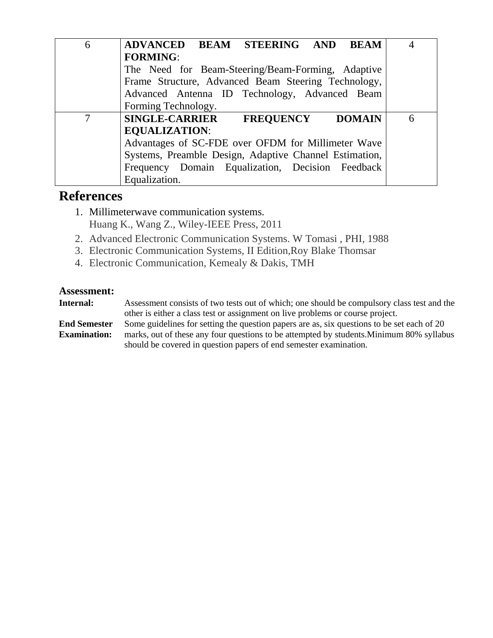| 6 | ADVANCED BEAM STEERING AND BEAM                            |   |
|---|------------------------------------------------------------|---|
|   | <b>FORMING:</b>                                            |   |
|   | The Need for Beam-Steering/Beam-Forming, Adaptive          |   |
|   | Frame Structure, Advanced Beam Steering Technology,        |   |
|   | Advanced Antenna ID Technology, Advanced Beam              |   |
|   | Forming Technology.                                        |   |
| 7 | <b>SINGLE-CARRIER</b><br><b>FREQUENCY</b><br><b>DOMAIN</b> | 6 |
|   | <b>EQUALIZATION:</b>                                       |   |
|   | Advantages of SC-FDE over OFDM for Millimeter Wave         |   |
|   | Systems, Preamble Design, Adaptive Channel Estimation,     |   |
|   | Frequency Domain Equalization, Decision Feedback           |   |
|   | Equalization.                                              |   |

# **References**

- 1. Millimeterwave communication systems. Huang K., Wang Z., Wiley-IEEE Press, 2011
- 2. Advanced Electronic Communication Systems. W Tomasi , PHI, 1988
- 3. Electronic Communication Systems, II Edition,Roy Blake Thomsar
- 4. Electronic Communication, Kemealy & Dakis, TMH

#### **Assessment:**

**Internal:** Assessment consists of two tests out of which; one should be compulsory class test and the other is either a class test or assignment on live problems or course project. **End Semester Examination:** Some guidelines for setting the question papers are as, six questions to be set each of 20 marks, out of these any four questions to be attempted by students.Minimum 80% syllabus should be covered in question papers of end semester examination.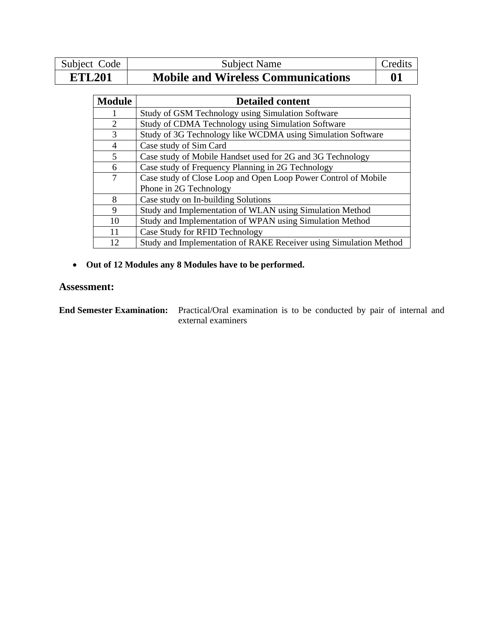| Subject Code  | Subject Name                              | Credits                   |
|---------------|-------------------------------------------|---------------------------|
| <b>ETL201</b> | <b>Mobile and Wireless Communications</b> | $\mathbf{0}^{\mathsf{T}}$ |

| <b>Module</b>  | <b>Detailed content</b>                                           |
|----------------|-------------------------------------------------------------------|
|                | Study of GSM Technology using Simulation Software                 |
| $\overline{2}$ | Study of CDMA Technology using Simulation Software                |
| 3              | Study of 3G Technology like WCDMA using Simulation Software       |
| 4              | Case study of Sim Card                                            |
| 5              | Case study of Mobile Handset used for 2G and 3G Technology        |
| 6              | Case study of Frequency Planning in 2G Technology                 |
| 7              | Case study of Close Loop and Open Loop Power Control of Mobile    |
|                | Phone in 2G Technology                                            |
| 8              | Case study on In-building Solutions                               |
| 9              | Study and Implementation of WLAN using Simulation Method          |
| 10             | Study and Implementation of WPAN using Simulation Method          |
| 11             | Case Study for RFID Technology                                    |
| 12             | Study and Implementation of RAKE Receiver using Simulation Method |

• **Out of 12 Modules any 8 Modules have to be performed.** 

## **Assessment:**

**End Semester Examination:** Practical/Oral examination is to be conducted by pair of internal and external examiners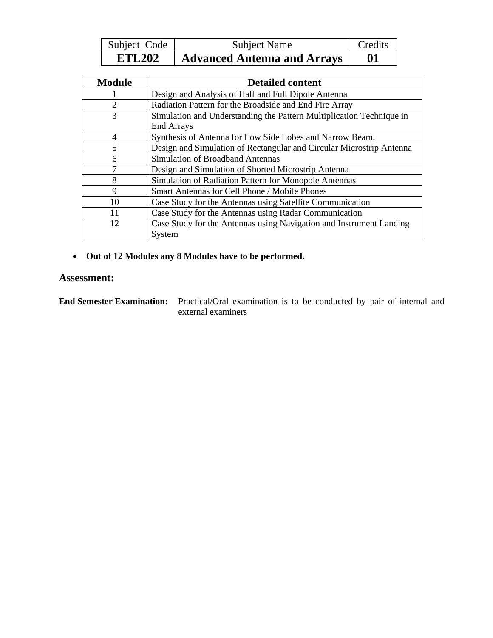| Subject Code  | <b>Subject Name</b>                | Credits |
|---------------|------------------------------------|---------|
| <b>ETL202</b> | <b>Advanced Antenna and Arrays</b> | 01      |

| <b>Module</b>  | <b>Detailed content</b>                                              |
|----------------|----------------------------------------------------------------------|
|                | Design and Analysis of Half and Full Dipole Antenna                  |
| $\overline{2}$ | Radiation Pattern for the Broadside and End Fire Array               |
| 3              | Simulation and Understanding the Pattern Multiplication Technique in |
|                | <b>End Arrays</b>                                                    |
| $\overline{4}$ | Synthesis of Antenna for Low Side Lobes and Narrow Beam.             |
| 5              | Design and Simulation of Rectangular and Circular Microstrip Antenna |
| 6              | Simulation of Broadband Antennas                                     |
|                | Design and Simulation of Shorted Microstrip Antenna                  |
| 8              | Simulation of Radiation Pattern for Monopole Antennas                |
| 9              | Smart Antennas for Cell Phone / Mobile Phones                        |
| 10             | Case Study for the Antennas using Satellite Communication            |
| 11             | Case Study for the Antennas using Radar Communication                |
| 12             | Case Study for the Antennas using Navigation and Instrument Landing  |
|                | System                                                               |

• **Out of 12 Modules any 8 Modules have to be performed.** 

#### **Assessment:**

**End Semester Examination:** Practical/Oral examination is to be conducted by pair of internal and external examiners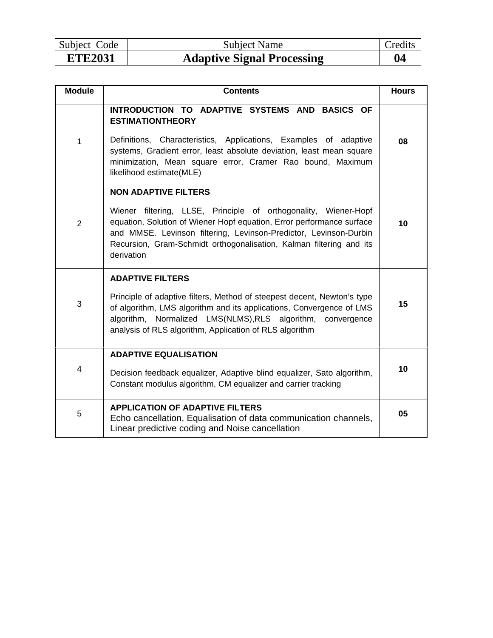| ЕТЕЗ021      | A Jantive Signal Dreasocing |  |
|--------------|-----------------------------|--|
| Subject Code | <b>Subject Name</b>         |  |

# **ETE2031** Adaptive Signal Processing 194

| <b>Module</b>  | <b>Contents</b>                                                                                                                                                                                                                                                                                                                   | <b>Hours</b> |
|----------------|-----------------------------------------------------------------------------------------------------------------------------------------------------------------------------------------------------------------------------------------------------------------------------------------------------------------------------------|--------------|
| 1              | INTRODUCTION TO ADAPTIVE SYSTEMS AND BASICS OF<br><b>ESTIMATIONTHEORY</b><br>Definitions, Characteristics, Applications, Examples of adaptive<br>systems, Gradient error, least absolute deviation, least mean square<br>minimization, Mean square error, Cramer Rao bound, Maximum<br>likelihood estimate(MLE)                   | 08           |
| $\overline{2}$ | <b>NON ADAPTIVE FILTERS</b><br>Wiener filtering, LLSE, Principle of orthogonality, Wiener-Hopf<br>equation, Solution of Wiener Hopf equation, Error performance surface<br>and MMSE. Levinson filtering, Levinson-Predictor, Levinson-Durbin<br>Recursion, Gram-Schmidt orthogonalisation, Kalman filtering and its<br>derivation | 10           |
| 3              | <b>ADAPTIVE FILTERS</b><br>Principle of adaptive filters, Method of steepest decent, Newton's type<br>of algorithm, LMS algorithm and its applications, Convergence of LMS<br>algorithm, Normalized LMS(NLMS), RLS algorithm, convergence<br>analysis of RLS algorithm, Application of RLS algorithm                              | 15           |
| 4              | <b>ADAPTIVE EQUALISATION</b><br>Decision feedback equalizer, Adaptive blind equalizer, Sato algorithm,<br>Constant modulus algorithm, CM equalizer and carrier tracking                                                                                                                                                           | 10           |
| 5              | <b>APPLICATION OF ADAPTIVE FILTERS</b><br>Echo cancellation, Equalisation of data communication channels,<br>Linear predictive coding and Noise cancellation                                                                                                                                                                      | 05           |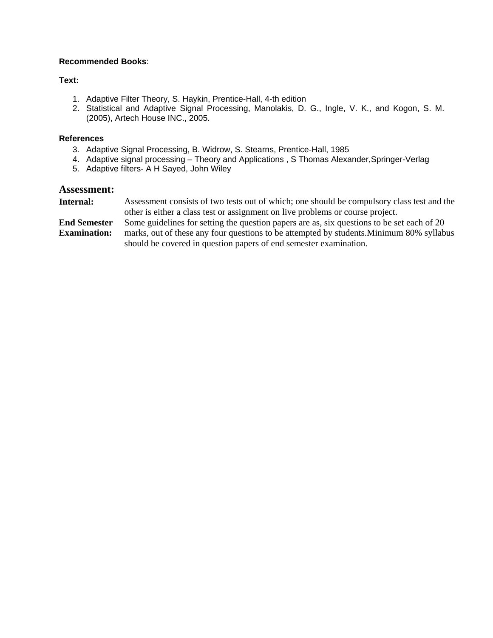#### **Recommended Books**:

#### **Text:**

- 1. Adaptive Filter Theory, S. Haykin, Prentice-Hall, 4-th edition
- 2. Statistical and Adaptive Signal Processing, Manolakis, D. G., Ingle, V. K., and Kogon, S. M. (2005), Artech House INC., 2005.

#### **References**

- 3. Adaptive Signal Processing, B. Widrow, S. Stearns, Prentice-Hall, 1985
- 4. Adaptive signal processing Theory and Applications , S Thomas Alexander,Springer-Verlag
- 5. Adaptive filters- A H Sayed, John Wiley

#### **Assessment:**

| Internal:           | Assessment consists of two tests out of which; one should be compulsory class test and the |
|---------------------|--------------------------------------------------------------------------------------------|
|                     | other is either a class test or assignment on live problems or course project.             |
| <b>End Semester</b> | Some guidelines for setting the question papers are as, six questions to be set each of 20 |
|                     | $0.001 - 111$                                                                              |

**Examination:** marks, out of these any four questions to be attempted by students.Minimum 80% syllabus should be covered in question papers of end semester examination.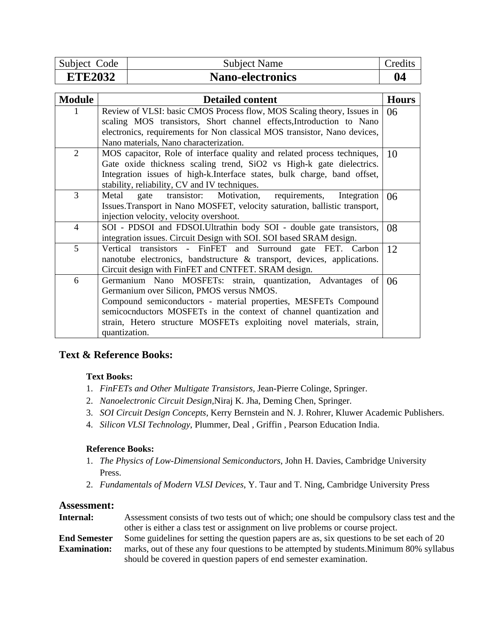| Subject Code   | <b>Subject Name</b>     | $C$ redite |
|----------------|-------------------------|------------|
| <b>ETE2032</b> | <b>Nano-electronics</b> | 04         |

| <b>Module</b>  | <b>Detailed content</b>                                                     | <b>Hours</b> |
|----------------|-----------------------------------------------------------------------------|--------------|
| 1              | Review of VLSI: basic CMOS Process flow, MOS Scaling theory, Issues in      | 06           |
|                | scaling MOS transistors, Short channel effects, Introduction to Nano        |              |
|                | electronics, requirements for Non classical MOS transistor, Nano devices,   |              |
|                | Nano materials, Nano characterization.                                      |              |
| $\overline{2}$ | MOS capacitor, Role of interface quality and related process techniques,    | 10           |
|                | Gate oxide thickness scaling trend, SiO2 vs High-k gate dielectrics.        |              |
|                | Integration issues of high-k.Interface states, bulk charge, band offset,    |              |
|                | stability, reliability, CV and IV techniques.                               |              |
| 3              | gate transistor: Motivation,<br>Metal<br>requirements,<br>Integration       | 06           |
|                | Issues. Transport in Nano MOSFET, velocity saturation, ballistic transport, |              |
|                | injection velocity, velocity overshoot.                                     |              |
| $\overline{4}$ | SOI - PDSOI and FDSOI. Ultrathin body SOI - double gate transistors,        | 08           |
|                | integration issues. Circuit Design with SOI. SOI based SRAM design.         |              |
| 5              | Vertical transistors - FinFET and Surround gate FET. Carbon                 | 12           |
|                | nanotube electronics, bandstructure $\&$ transport, devices, applications.  |              |
|                | Circuit design with FinFET and CNTFET. SRAM design.                         |              |
| 6              | Germanium Nano MOSFETs: strain, quantization, Advantages<br>of              | 06           |
|                | Germanium over Silicon, PMOS versus NMOS.                                   |              |
|                | Compound semiconductors - material properties, MESFETs Compound             |              |
|                | semicocnductors MOSFETs in the context of channel quantization and          |              |
|                | strain, Hetero structure MOSFETs exploiting novel materials, strain,        |              |
|                | quantization.                                                               |              |

#### **Text Books:**

- 1. *FinFETs and Other Multigate Transistors,* Jean-Pierre Colinge, Springer.
- 2. *Nanoelectronic Circuit Design,*Niraj K. Jha, Deming Chen, Springer.
- 3. *SOI Circuit Design Concepts,* Kerry Bernstein and N. J. Rohrer, Kluwer Academic Publishers.
- 4. *Silicon VLSI Technology*, Plummer, Deal , Griffin , Pearson Education India.

#### **Reference Books:**

- 1. *The Physics of Low-Dimensional Semiconductors*, John H. Davies, Cambridge University Press.
- 2. *Fundamentals of Modern VLSI Devices*, Y. Taur and T. Ning, Cambridge University Press

| Internal:           | Assessment consists of two tests out of which; one should be compulsory class test and the |
|---------------------|--------------------------------------------------------------------------------------------|
|                     | other is either a class test or assignment on live problems or course project.             |
| <b>End Semester</b> | Some guidelines for setting the question papers are as, six questions to be set each of 20 |
| <b>Examination:</b> | marks, out of these any four questions to be attempted by students. Minimum 80% syllabus   |
|                     | should be covered in question papers of end semester examination.                          |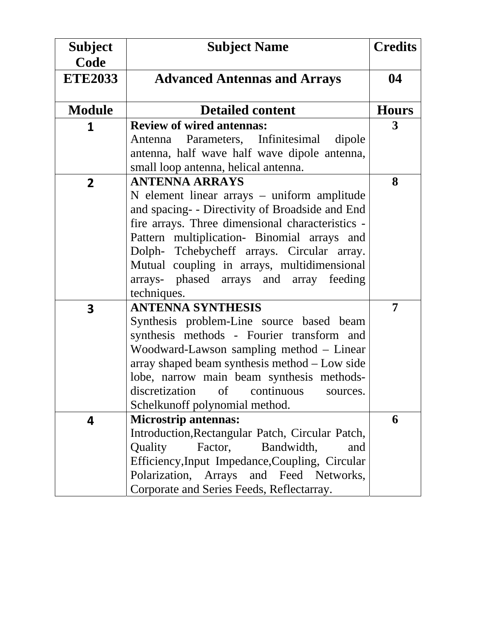| <b>Subject</b><br>Code  | <b>Subject Name</b>                                                                             | <b>Credits</b> |
|-------------------------|-------------------------------------------------------------------------------------------------|----------------|
| <b>ETE2033</b>          | <b>Advanced Antennas and Arrays</b>                                                             | 04             |
| <b>Module</b>           | <b>Detailed content</b>                                                                         | <b>Hours</b>   |
| 1                       | <b>Review of wired antennas:</b>                                                                | 3              |
|                         | Antenna Parameters, Infinitesimal dipole                                                        |                |
|                         | antenna, half wave half wave dipole antenna,                                                    |                |
|                         | small loop antenna, helical antenna.                                                            |                |
| $\overline{2}$          | <b>ANTENNA ARRAYS</b>                                                                           | 8              |
|                         | N element linear arrays – uniform amplitude                                                     |                |
|                         | and spacing- - Directivity of Broadside and End                                                 |                |
|                         | fire arrays. Three dimensional characteristics -<br>Pattern multiplication- Binomial arrays and |                |
|                         | Dolph- Tchebycheff arrays. Circular array.                                                      |                |
|                         | Mutual coupling in arrays, multidimensional                                                     |                |
|                         | arrays- phased arrays and array feeding                                                         |                |
|                         | techniques.                                                                                     |                |
| $\overline{\mathbf{3}}$ | <b>ANTENNA SYNTHESIS</b>                                                                        | 7              |
|                         | Synthesis problem-Line source based beam                                                        |                |
|                         | synthesis methods - Fourier transform and                                                       |                |
|                         | Woodward-Lawson sampling method – Linear                                                        |                |
|                         | array shaped beam synthesis method - Low side                                                   |                |
|                         | lobe, narrow main beam synthesis methods-                                                       |                |
|                         | discretization<br>of continuous<br>sources.                                                     |                |
|                         | Schelkunoff polynomial method.                                                                  |                |
| 4                       | <b>Microstrip antennas:</b>                                                                     | 6              |
|                         | Introduction, Rectangular Patch, Circular Patch,<br>Bandwidth,<br>Quality<br>Factor,<br>and     |                |
|                         | Efficiency, Input Impedance, Coupling, Circular                                                 |                |
|                         | Polarization, Arrays and Feed Networks,                                                         |                |
|                         | Corporate and Series Feeds, Reflectarray.                                                       |                |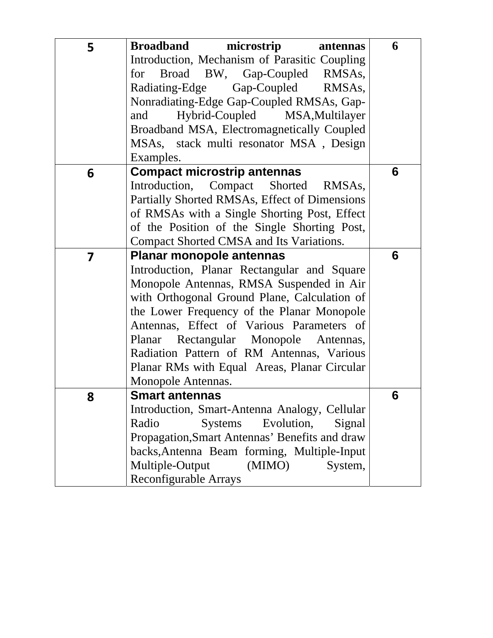| 5 | <b>Broadband</b><br>microstrip<br>antennas      | 6 |
|---|-------------------------------------------------|---|
|   | Introduction, Mechanism of Parasitic Coupling   |   |
|   | for Broad BW, Gap-Coupled RMSAs,                |   |
|   | Radiating-Edge Gap-Coupled RMSAs,               |   |
|   | Nonradiating-Edge Gap-Coupled RMSAs, Gap-       |   |
|   | Hybrid-Coupled MSA, Multilayer<br>and           |   |
|   | Broadband MSA, Electromagnetically Coupled      |   |
|   | MSAs, stack multi resonator MSA, Design         |   |
|   | Examples.                                       |   |
| 6 | <b>Compact microstrip antennas</b>              | 6 |
|   | Introduction, Compact Shorted RMSAs,            |   |
|   | Partially Shorted RMSAs, Effect of Dimensions   |   |
|   | of RMSAs with a Single Shorting Post, Effect    |   |
|   | of the Position of the Single Shorting Post,    |   |
|   | Compact Shorted CMSA and Its Variations.        |   |
| 7 | <b>Planar monopole antennas</b>                 | 6 |
|   | Introduction, Planar Rectangular and Square     |   |
|   | Monopole Antennas, RMSA Suspended in Air        |   |
|   | with Orthogonal Ground Plane, Calculation of    |   |
|   | the Lower Frequency of the Planar Monopole      |   |
|   | Antennas, Effect of Various Parameters of       |   |
|   | Planar Rectangular Monopole Antennas,           |   |
|   | Radiation Pattern of RM Antennas, Various       |   |
|   | Planar RMs with Equal Areas, Planar Circular    |   |
|   | Monopole Antennas.                              |   |
| 8 | <b>Smart antennas</b>                           | 6 |
|   | Introduction, Smart-Antenna Analogy, Cellular   |   |
|   | Radio<br>Evolution,<br><b>Systems</b><br>Signal |   |
|   | Propagation, Smart Antennas' Benefits and draw  |   |
|   | backs, Antenna Beam forming, Multiple-Input     |   |
|   | Multiple-Output<br>(MIMO)<br>System,            |   |
|   | Reconfigurable Arrays                           |   |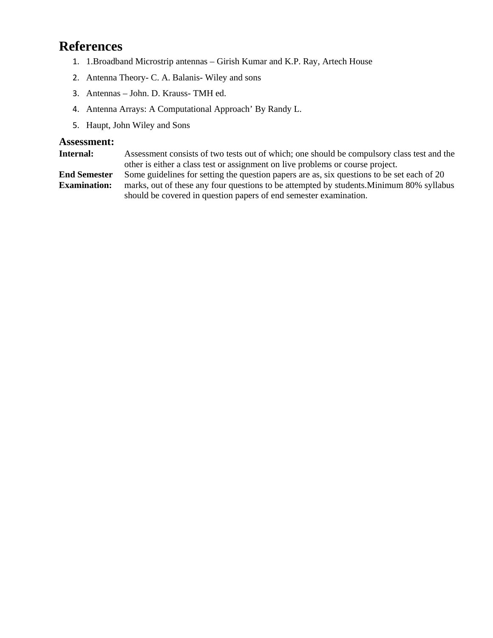# **References**

- 1. 1.Broadband Microstrip antennas Girish Kumar and K.P. Ray, Artech House
- 2. Antenna Theory- C. A. Balanis- Wiley and sons
- 3. Antennas John. D. Krauss- TMH ed.
- 4. Antenna Arrays: A Computational Approach' By Randy L.
- 5. Haupt, John Wiley and Sons

#### **Assessment:**

**Internal:** Assessment consists of two tests out of which; one should be compulsory class test and the other is either a class test or assignment on live problems or course project.

**End Semester Examination:** Some guidelines for setting the question papers are as, six questions to be set each of 20 marks, out of these any four questions to be attempted by students.Minimum 80% syllabus should be covered in question papers of end semester examination.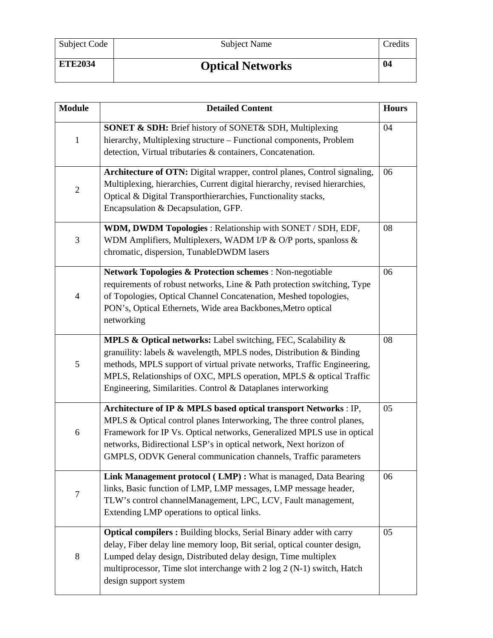| Subject Code   | Subject Name            | Credits |
|----------------|-------------------------|---------|
| <b>ETE2034</b> | <b>Optical Networks</b> | 04      |

| <b>Module</b>  | <b>Detailed Content</b>                                                                                                                                                                                                                                                                                                                                    | <b>Hours</b> |
|----------------|------------------------------------------------------------------------------------------------------------------------------------------------------------------------------------------------------------------------------------------------------------------------------------------------------------------------------------------------------------|--------------|
| $\mathbf{1}$   | SONET & SDH: Brief history of SONET& SDH, Multiplexing<br>hierarchy, Multiplexing structure - Functional components, Problem<br>detection, Virtual tributaries & containers, Concatenation.                                                                                                                                                                | 04           |
| $\mathbf{2}$   | Architecture of OTN: Digital wrapper, control planes, Control signaling,<br>Multiplexing, hierarchies, Current digital hierarchy, revised hierarchies,<br>Optical & Digital Transporthierarchies, Functionality stacks,<br>Encapsulation & Decapsulation, GFP.                                                                                             | 06           |
| 3              | WDM, DWDM Topologies: Relationship with SONET / SDH, EDF,<br>WDM Amplifiers, Multiplexers, WADM I/P & O/P ports, spanloss &<br>chromatic, dispersion, TunableDWDM lasers                                                                                                                                                                                   | 08           |
| $\overline{4}$ | <b>Network Topologies &amp; Protection schemes : Non-negotiable</b><br>requirements of robust networks, Line & Path protection switching, Type<br>of Topologies, Optical Channel Concatenation, Meshed topologies,<br>PON's, Optical Ethernets, Wide area Backbones, Metro optical<br>networking                                                           | 06           |
| 5              | MPLS & Optical networks: Label switching, FEC, Scalability &<br>granuility: labels & wavelength, MPLS nodes, Distribution & Binding<br>methods, MPLS support of virtual private networks, Traffic Engineering,<br>MPLS, Relationships of OXC, MPLS operation, MPLS & optical Traffic<br>Engineering, Similarities. Control & Dataplanes interworking       | 08           |
| 6              | Architecture of IP & MPLS based optical transport Networks : IP,<br>MPLS & Optical control planes Interworking, The three control planes,<br>Framework for IP Vs. Optical networks, Generalized MPLS use in optical<br>networks, Bidirectional LSP's in optical network, Next horizon of<br>GMPLS, ODVK General communication channels, Traffic parameters | 05           |
| 7              | Link Management protocol (LMP): What is managed, Data Bearing<br>links, Basic function of LMP, LMP messages, LMP message header,<br>TLW's control channelManagement, LPC, LCV, Fault management,<br>Extending LMP operations to optical links.                                                                                                             | 06           |
| $\,8\,$        | <b>Optical compilers:</b> Building blocks, Serial Binary adder with carry<br>delay, Fiber delay line memory loop, Bit serial, optical counter design,<br>Lumped delay design, Distributed delay design, Time multiplex<br>multiprocessor, Time slot interchange with 2 log 2 (N-1) switch, Hatch<br>design support system                                  | 05           |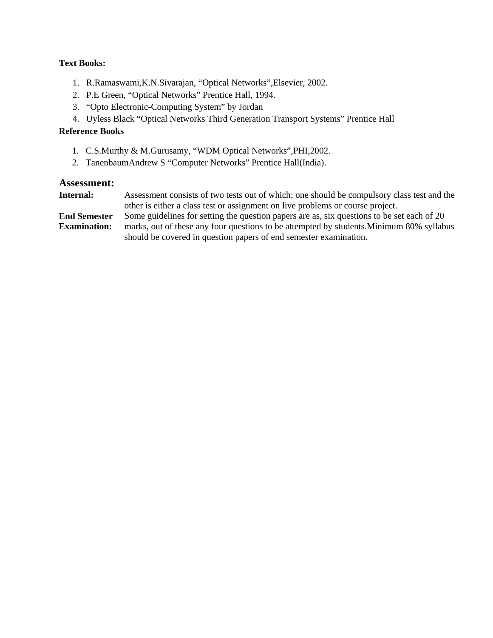#### **Text Books:**

- 1. R.Ramaswami,K.N.Sivarajan, "Optical Networks",Elsevier, 2002.
- 2. P.E Green, "Optical Networks" Prentice Hall, 1994.
- 3. "Opto Electronic-Computing System" by Jordan
- 4. Uyless Black "Optical Networks Third Generation Transport Systems" Prentice Hall

#### **Reference Books**

- 1. C.S.Murthy & M.Gurusamy, "WDM Optical Networks",PHI,2002.
- 2. TanenbaumAndrew S "Computer Networks" Prentice Hall(India).

| <b>Internal:</b>    | Assessment consists of two tests out of which; one should be compulsory class test and the |
|---------------------|--------------------------------------------------------------------------------------------|
|                     | other is either a class test or assignment on live problems or course project.             |
| <b>End Semester</b> | Some guidelines for setting the question papers are as, six questions to be set each of 20 |
| <b>Examination:</b> | marks, out of these any four questions to be attempted by students. Minimum 80% syllabus   |
|                     | should be covered in question papers of end semester examination.                          |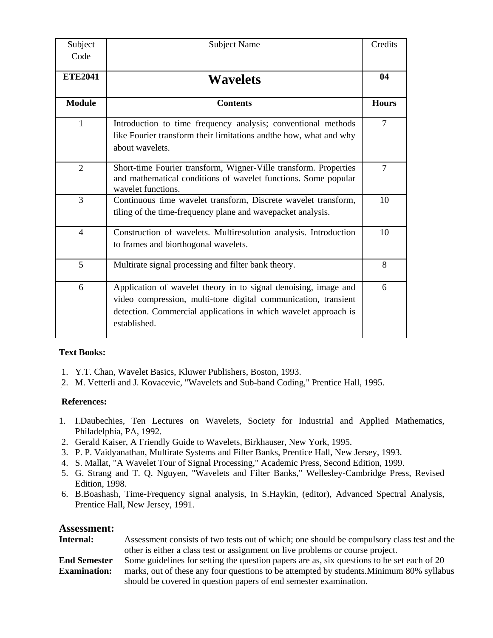| Subject        | <b>Subject Name</b>                                                                                                                                                                                                  | Credits      |
|----------------|----------------------------------------------------------------------------------------------------------------------------------------------------------------------------------------------------------------------|--------------|
| Code           |                                                                                                                                                                                                                      |              |
| <b>ETE2041</b> | <b>Wavelets</b>                                                                                                                                                                                                      | 04           |
| <b>Module</b>  | <b>Contents</b>                                                                                                                                                                                                      | <b>Hours</b> |
| $\mathbf{1}$   | Introduction to time frequency analysis; conventional methods<br>like Fourier transform their limitations andthe how, what and why<br>about wavelets.                                                                | 7            |
| $\overline{2}$ | Short-time Fourier transform, Wigner-Ville transform. Properties<br>and mathematical conditions of wavelet functions. Some popular<br>wavelet functions.                                                             | 7            |
| 3              | Continuous time wavelet transform, Discrete wavelet transform,<br>tiling of the time-frequency plane and wavepacket analysis.                                                                                        | 10           |
| $\overline{4}$ | Construction of wavelets. Multiresolution analysis. Introduction<br>to frames and biorthogonal wavelets.                                                                                                             | 10           |
| 5              | Multirate signal processing and filter bank theory.                                                                                                                                                                  | 8            |
| 6              | Application of wavelet theory in to signal denoising, image and<br>video compression, multi-tone digital communication, transient<br>detection. Commercial applications in which wavelet approach is<br>established. | 6            |

#### **Text Books:**

- 1. Y.T. Chan, Wavelet Basics, Kluwer Publishers, Boston, 1993.
- 2. M. Vetterli and J. Kovacevic, "Wavelets and Sub-band Coding," Prentice Hall, 1995.

#### **References:**

- 1. I.Daubechies, Ten Lectures on Wavelets, Society for Industrial and Applied Mathematics, Philadelphia, PA, 1992.
- 2. Gerald Kaiser, A Friendly Guide to Wavelets, Birkhauser, New York, 1995.
- 3. P. P. Vaidyanathan, Multirate Systems and Filter Banks, Prentice Hall, New Jersey, 1993.
- 4. S. Mallat, "A Wavelet Tour of Signal Processing," Academic Press, Second Edition, 1999.
- 5. G. Strang and T. Q. Nguyen, "Wavelets and Filter Banks," Wellesley-Cambridge Press, Revised Edition, 1998.
- 6. B.Boashash, Time-Frequency signal analysis, In S.Haykin, (editor), Advanced Spectral Analysis, Prentice Hall, New Jersey, 1991.

| Internal:           | Assessment consists of two tests out of which; one should be compulsory class test and the |
|---------------------|--------------------------------------------------------------------------------------------|
|                     | other is either a class test or assignment on live problems or course project.             |
| <b>End Semester</b> | Some guidelines for setting the question papers are as, six questions to be set each of 20 |
| <b>Examination:</b> | marks, out of these any four questions to be attempted by students. Minimum 80% syllabus   |
|                     | should be covered in question papers of end semester examination.                          |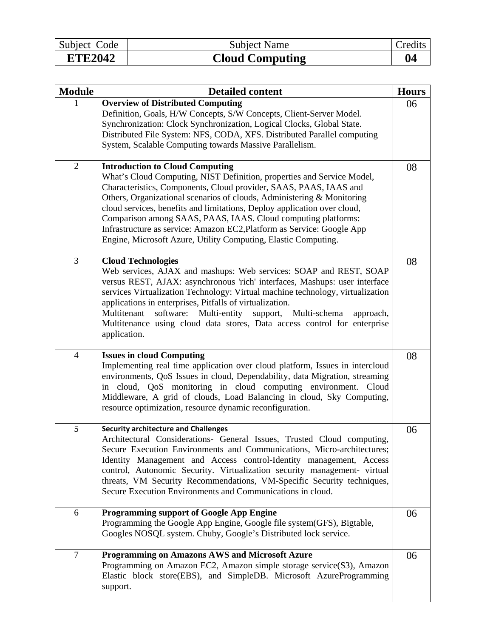| Subject Code   | <b>Subject Name</b>    | Credits |
|----------------|------------------------|---------|
| <b>ETE2042</b> | <b>Cloud Computing</b> | 04      |

| <b>Module</b>  | <b>Detailed content</b>                                                                                                                                                                                                                                                                                                                                                                                                                                                                                                                                  | <b>Hours</b> |
|----------------|----------------------------------------------------------------------------------------------------------------------------------------------------------------------------------------------------------------------------------------------------------------------------------------------------------------------------------------------------------------------------------------------------------------------------------------------------------------------------------------------------------------------------------------------------------|--------------|
|                | <b>Overview of Distributed Computing</b><br>Definition, Goals, H/W Concepts, S/W Concepts, Client-Server Model.<br>Synchronization: Clock Synchronization, Logical Clocks, Global State.<br>Distributed File System: NFS, CODA, XFS. Distributed Parallel computing<br>System, Scalable Computing towards Massive Parallelism.                                                                                                                                                                                                                           | 06           |
| $\sqrt{2}$     | <b>Introduction to Cloud Computing</b><br>What's Cloud Computing, NIST Definition, properties and Service Model,<br>Characteristics, Components, Cloud provider, SAAS, PAAS, IAAS and<br>Others, Organizational scenarios of clouds, Administering & Monitoring<br>cloud services, benefits and limitations, Deploy application over cloud,<br>Comparison among SAAS, PAAS, IAAS. Cloud computing platforms:<br>Infrastructure as service: Amazon EC2, Platform as Service: Google App<br>Engine, Microsoft Azure, Utility Computing, Elastic Computing. | 08           |
| 3              | <b>Cloud Technologies</b><br>Web services, AJAX and mashups: Web services: SOAP and REST, SOAP<br>versus REST, AJAX: asynchronous 'rich' interfaces, Mashups: user interface<br>services Virtualization Technology: Virtual machine technology, virtualization<br>applications in enterprises, Pitfalls of virtualization.<br>software:<br>Multi-entity<br>support, Multi-schema<br>Multitenant<br>approach,<br>Multitenance using cloud data stores, Data access control for enterprise<br>application.                                                 | 08           |
| $\overline{4}$ | <b>Issues in cloud Computing</b><br>Implementing real time application over cloud platform, Issues in intercloud<br>environments, QoS Issues in cloud, Dependability, data Migration, streaming<br>in cloud, QoS monitoring in cloud computing environment. Cloud<br>Middleware, A grid of clouds, Load Balancing in cloud, Sky Computing,<br>resource optimization, resource dynamic reconfiguration.                                                                                                                                                   | 08           |
| 5              | <b>Security architecture and Challenges</b><br>Architectural Considerations- General Issues, Trusted Cloud computing,<br>Secure Execution Environments and Communications, Micro-architectures;<br>Identity Management and Access control-Identity management, Access<br>control, Autonomic Security. Virtualization security management- virtual<br>threats, VM Security Recommendations, VM-Specific Security techniques,<br>Secure Execution Environments and Communications in cloud.                                                                | 06           |
| 6              | <b>Programming support of Google App Engine</b><br>Programming the Google App Engine, Google file system(GFS), Bigtable,<br>Googles NOSQL system. Chuby, Google's Distributed lock service.                                                                                                                                                                                                                                                                                                                                                              | 06           |
| $\overline{7}$ | <b>Programming on Amazons AWS and Microsoft Azure</b><br>Programming on Amazon EC2, Amazon simple storage service(S3), Amazon<br>Elastic block store(EBS), and SimpleDB. Microsoft AzureProgramming<br>support.                                                                                                                                                                                                                                                                                                                                          | 06           |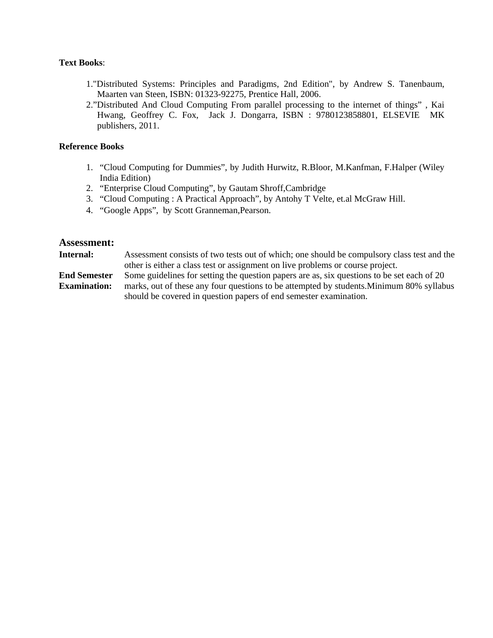#### **Text Books**:

- 1."Distributed Systems: Principles and Paradigms, 2nd Edition", by Andrew S. Tanenbaum, Maarten van Steen, ISBN: 01323-92275, Prentice Hall, 2006.
- 2."Distributed And Cloud Computing From parallel processing to the internet of things" , Kai Hwang, Geoffrey C. Fox, Jack J. Dongarra, ISBN : 9780123858801, ELSEVIE MK publishers, 2011.

#### **Reference Books**

- 1. "Cloud Computing for Dummies", by Judith Hurwitz, R.Bloor, M.Kanfman, F.Halper (Wiley India Edition)
- 2. "Enterprise Cloud Computing", by Gautam Shroff,Cambridge
- 3. "Cloud Computing : A Practical Approach", by Antohy T Velte, et.al McGraw Hill.
- 4. "Google Apps", by Scott Granneman,Pearson.

#### **Assessment:**

**Internal:** Assessment consists of two tests out of which; one should be compulsory class test and the other is either a class test or assignment on live problems or course project.

**End Semester Examination:** Some guidelines for setting the question papers are as, six questions to be set each of 20 marks, out of these any four questions to be attempted by students.Minimum 80% syllabus should be covered in question papers of end semester examination.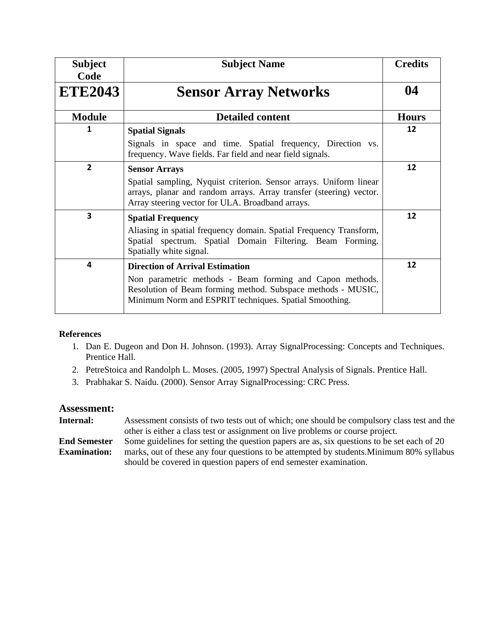| <b>Subject</b><br>Code | <b>Subject Name</b>                                                                                                                                                                                                          | <b>Credits</b> |
|------------------------|------------------------------------------------------------------------------------------------------------------------------------------------------------------------------------------------------------------------------|----------------|
| <b>ETE2043</b>         | <b>Sensor Array Networks</b>                                                                                                                                                                                                 | 04             |
| <b>Module</b>          | <b>Detailed content</b>                                                                                                                                                                                                      | <b>Hours</b>   |
| 1                      | <b>Spatial Signals</b><br>Signals in space and time. Spatial frequency, Direction vs.<br>frequency. Wave fields. Far field and near field signals.                                                                           | 12             |
| $\overline{2}$         | <b>Sensor Arrays</b><br>Spatial sampling, Nyquist criterion. Sensor arrays. Uniform linear<br>arrays, planar and random arrays. Array transfer (steering) vector.<br>Array steering vector for ULA. Broadband arrays.        | 12             |
| 3                      | <b>Spatial Frequency</b><br>Aliasing in spatial frequency domain. Spatial Frequency Transform,<br>Spatial spectrum. Spatial Domain Filtering. Beam Forming.<br>Spatially white signal.                                       | 12             |
| 4                      | <b>Direction of Arrival Estimation</b><br>Non parametric methods - Beam forming and Capon methods.<br>Resolution of Beam forming method. Subspace methods - MUSIC,<br>Minimum Norm and ESPRIT techniques. Spatial Smoothing. | 12             |

#### **References**

- 1. Dan E. Dugeon and Don H. Johnson. (1993). Array SignalProcessing: Concepts and Techniques. Prentice Hall.
- 2. PetreStoica and Randolph L. Moses. (2005, 1997) Spectral Analysis of Signals. Prentice Hall.
- 3. Prabhakar S. Naidu. (2000). Sensor Array SignalProcessing: CRC Press.

| Internal:           | Assessment consists of two tests out of which; one should be compulsory class test and the |
|---------------------|--------------------------------------------------------------------------------------------|
|                     | other is either a class test or assignment on live problems or course project.             |
| <b>End Semester</b> | Some guidelines for setting the question papers are as, six questions to be set each of 20 |
| <b>Examination:</b> | marks, out of these any four questions to be attempted by students. Minimum 80% syllabus   |
|                     | should be covered in question papers of end semester examination.                          |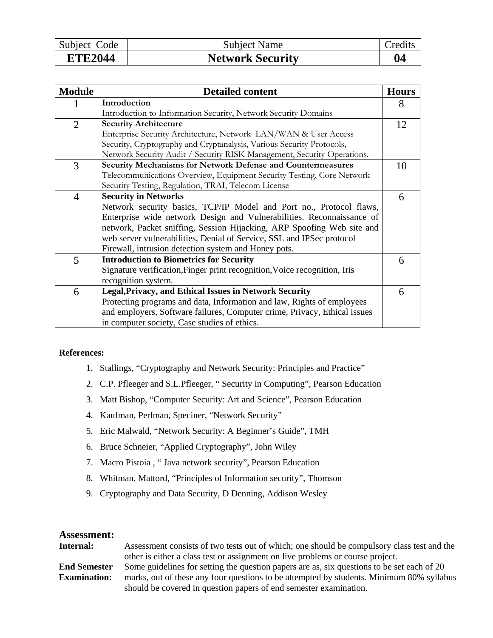| Subject Code   | <b>Subject Name</b>     | aredits. |
|----------------|-------------------------|----------|
| <b>ETE2044</b> | <b>Network Security</b> |          |

| <b>Module</b>  | <b>Detailed content</b>                                                   | <b>Hours</b> |
|----------------|---------------------------------------------------------------------------|--------------|
| 1              | Introduction                                                              | 8            |
|                | Introduction to Information Security, Network Security Domains            |              |
| $\overline{2}$ | <b>Security Architecture</b>                                              | 12           |
|                | Enterprise Security Architecture, Network LAN/WAN & User Access           |              |
|                | Security, Cryptography and Cryptanalysis, Various Security Protocols,     |              |
|                | Network Security Audit / Security RISK Management, Security Operations.   |              |
| 3              | Security Mechanisms for Network Defense and Countermeasures               | 10           |
|                | Telecommunications Overview, Equipment Security Testing, Core Network     |              |
|                | Security Testing, Regulation, TRAI, Telecom License                       |              |
| $\overline{4}$ | <b>Security in Networks</b>                                               | 6            |
|                | Network security basics, TCP/IP Model and Port no., Protocol flaws,       |              |
|                | Enterprise wide network Design and Vulnerabilities. Reconnaissance of     |              |
|                | network, Packet sniffing, Session Hijacking, ARP Spoofing Web site and    |              |
|                | web server vulnerabilities, Denial of Service, SSL and IPSec protocol     |              |
|                | Firewall, intrusion detection system and Honey pots.                      |              |
| 5              | <b>Introduction to Biometrics for Security</b>                            | 6            |
|                | Signature verification, Finger print recognition, Voice recognition, Iris |              |
|                | recognition system.                                                       |              |
| 6              | <b>Legal, Privacy, and Ethical Issues in Network Security</b>             | 6            |
|                | Protecting programs and data, Information and law, Rights of employees    |              |
|                | and employers, Software failures, Computer crime, Privacy, Ethical issues |              |
|                | in computer society, Case studies of ethics.                              |              |

#### **References:**

- 1. Stallings, "Cryptography and Network Security: Principles and Practice"
- 2. C.P. Pfleeger and S.L.Pfleeger, " Security in Computing", Pearson Education
- 3. Matt Bishop, "Computer Security: Art and Science", Pearson Education
- 4. Kaufman, Perlman, Speciner, "Network Security"
- 5. Eric Malwald, "Network Security: A Beginner's Guide", TMH
- 6. Bruce Schneier, "Applied Cryptography", John Wiley
- 7. Macro Pistoia , " Java network security", Pearson Education
- 8. Whitman, Mattord, "Principles of Information security", Thomson
- 9. Cryptography and Data Security, D Denning, Addison Wesley

| Internal:           | Assessment consists of two tests out of which; one should be compulsory class test and the |
|---------------------|--------------------------------------------------------------------------------------------|
|                     | other is either a class test or assignment on live problems or course project.             |
| <b>End Semester</b> | Some guidelines for setting the question papers are as, six questions to be set each of 20 |
| <b>Examination:</b> | marks, out of these any four questions to be attempted by students. Minimum 80% syllabus   |
|                     | should be covered in question papers of end semester examination.                          |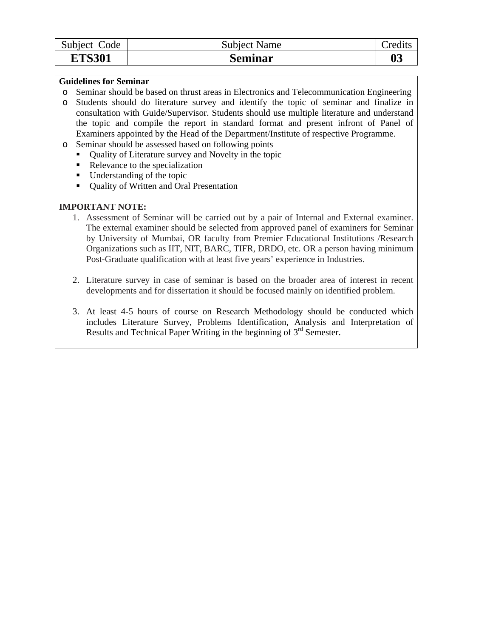| Subject Code  | <b>Subject Name</b> | $C$ redits         |
|---------------|---------------------|--------------------|
| <b>ETS301</b> | Seminar             | $\boldsymbol{0}$ 3 |

#### **Guidelines for Seminar**

- o Seminar should be based on thrust areas in Electronics and Telecommunication Engineering
- o Students should do literature survey and identify the topic of seminar and finalize in consultation with Guide/Supervisor. Students should use multiple literature and understand the topic and compile the report in standard format and present infront of Panel of Examiners appointed by the Head of the Department/Institute of respective Programme.
- o Seminar should be assessed based on following points
	- Quality of Literature survey and Novelty in the topic
	- Relevance to the specialization
	- Understanding of the topic
	- Quality of Written and Oral Presentation

#### **IMPORTANT NOTE:**

- 1. Assessment of Seminar will be carried out by a pair of Internal and External examiner. The external examiner should be selected from approved panel of examiners for Seminar by University of Mumbai, OR faculty from Premier Educational Institutions /Research Organizations such as IIT, NIT, BARC, TIFR, DRDO, etc. OR a person having minimum Post-Graduate qualification with at least five years' experience in Industries.
- 2. Literature survey in case of seminar is based on the broader area of interest in recent developments and for dissertation it should be focused mainly on identified problem.
- 3. At least 4-5 hours of course on Research Methodology should be conducted which includes Literature Survey, Problems Identification, Analysis and Interpretation of Results and Technical Paper Writing in the beginning of  $3<sup>rd</sup>$  Semester.